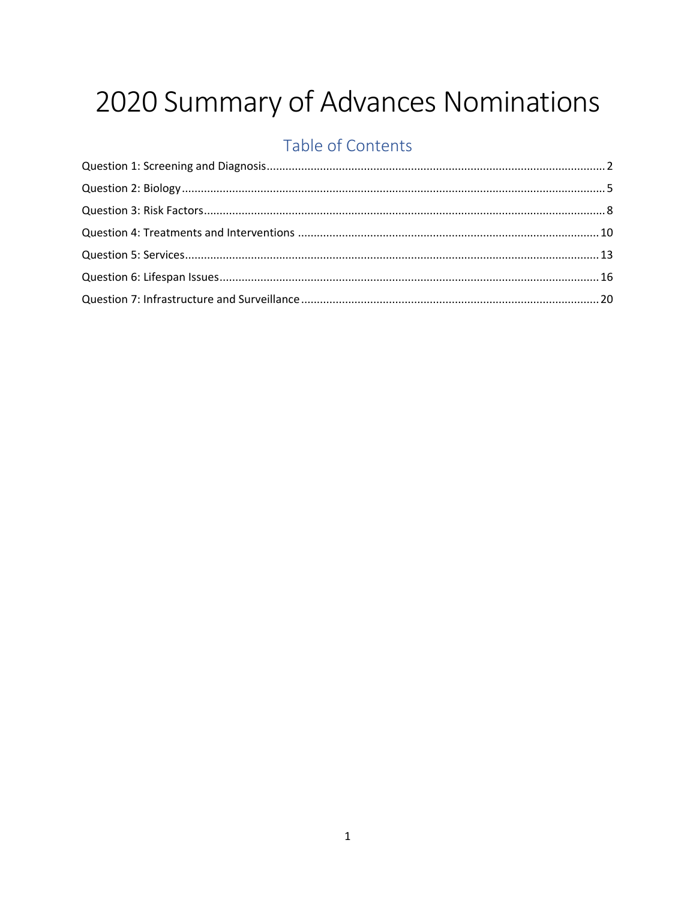## 2020 Summary of Advances Nominations

## Table of Contents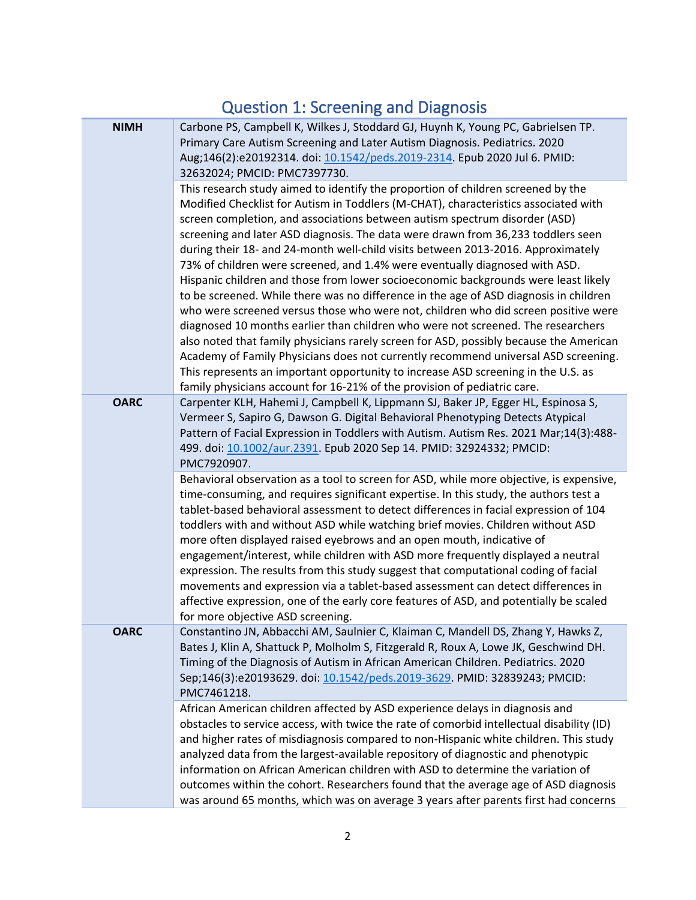## Question 1: Screening and Diagnosis

<span id="page-1-0"></span>

| <b>NIMH</b> | Carbone PS, Campbell K, Wilkes J, Stoddard GJ, Huynh K, Young PC, Gabrielsen TP.<br>Primary Care Autism Screening and Later Autism Diagnosis. Pediatrics. 2020<br>Aug;146(2):e20192314. doi: 10.1542/peds.2019-2314. Epub 2020 Jul 6. PMID:<br>32632024; PMCID: PMC7397730.                                                                                                                                                                                                                                                                                                                                                                                                                                                                                                                                                                                                                                                                                                                                                                                                                                                                                                                                            |
|-------------|------------------------------------------------------------------------------------------------------------------------------------------------------------------------------------------------------------------------------------------------------------------------------------------------------------------------------------------------------------------------------------------------------------------------------------------------------------------------------------------------------------------------------------------------------------------------------------------------------------------------------------------------------------------------------------------------------------------------------------------------------------------------------------------------------------------------------------------------------------------------------------------------------------------------------------------------------------------------------------------------------------------------------------------------------------------------------------------------------------------------------------------------------------------------------------------------------------------------|
|             | This research study aimed to identify the proportion of children screened by the<br>Modified Checklist for Autism in Toddlers (M-CHAT), characteristics associated with<br>screen completion, and associations between autism spectrum disorder (ASD)<br>screening and later ASD diagnosis. The data were drawn from 36,233 toddlers seen<br>during their 18- and 24-month well-child visits between 2013-2016. Approximately<br>73% of children were screened, and 1.4% were eventually diagnosed with ASD.<br>Hispanic children and those from lower socioeconomic backgrounds were least likely<br>to be screened. While there was no difference in the age of ASD diagnosis in children<br>who were screened versus those who were not, children who did screen positive were<br>diagnosed 10 months earlier than children who were not screened. The researchers<br>also noted that family physicians rarely screen for ASD, possibly because the American<br>Academy of Family Physicians does not currently recommend universal ASD screening.<br>This represents an important opportunity to increase ASD screening in the U.S. as<br>family physicians account for 16-21% of the provision of pediatric care. |
| <b>OARC</b> | Carpenter KLH, Hahemi J, Campbell K, Lippmann SJ, Baker JP, Egger HL, Espinosa S,<br>Vermeer S, Sapiro G, Dawson G. Digital Behavioral Phenotyping Detects Atypical<br>Pattern of Facial Expression in Toddlers with Autism. Autism Res. 2021 Mar;14(3):488-<br>499. doi: 10.1002/aur.2391. Epub 2020 Sep 14. PMID: 32924332; PMCID:<br>PMC7920907.                                                                                                                                                                                                                                                                                                                                                                                                                                                                                                                                                                                                                                                                                                                                                                                                                                                                    |
|             | Behavioral observation as a tool to screen for ASD, while more objective, is expensive,<br>time-consuming, and requires significant expertise. In this study, the authors test a<br>tablet-based behavioral assessment to detect differences in facial expression of 104<br>toddlers with and without ASD while watching brief movies. Children without ASD<br>more often displayed raised eyebrows and an open mouth, indicative of<br>engagement/interest, while children with ASD more frequently displayed a neutral<br>expression. The results from this study suggest that computational coding of facial<br>movements and expression via a tablet-based assessment can detect differences in<br>affective expression, one of the early core features of ASD, and potentially be scaled<br>for more objective ASD screening.                                                                                                                                                                                                                                                                                                                                                                                     |
| <b>OARC</b> | Constantino JN, Abbacchi AM, Saulnier C, Klaiman C, Mandell DS, Zhang Y, Hawks Z,<br>Bates J, Klin A, Shattuck P, Molholm S, Fitzgerald R, Roux A, Lowe JK, Geschwind DH.<br>Timing of the Diagnosis of Autism in African American Children. Pediatrics. 2020<br>Sep;146(3):e20193629. doi: 10.1542/peds.2019-3629. PMID: 32839243; PMCID:<br>PMC7461218.                                                                                                                                                                                                                                                                                                                                                                                                                                                                                                                                                                                                                                                                                                                                                                                                                                                              |
|             | African American children affected by ASD experience delays in diagnosis and<br>obstacles to service access, with twice the rate of comorbid intellectual disability (ID)<br>and higher rates of misdiagnosis compared to non-Hispanic white children. This study<br>analyzed data from the largest-available repository of diagnostic and phenotypic<br>information on African American children with ASD to determine the variation of<br>outcomes within the cohort. Researchers found that the average age of ASD diagnosis<br>was around 65 months, which was on average 3 years after parents first had concerns                                                                                                                                                                                                                                                                                                                                                                                                                                                                                                                                                                                                 |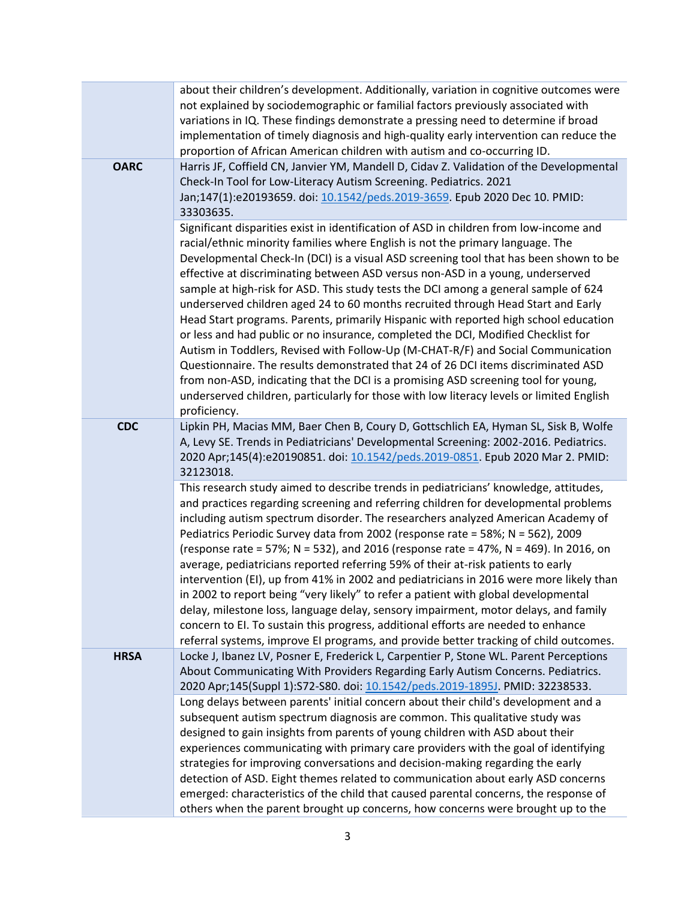| <b>OARC</b> | about their children's development. Additionally, variation in cognitive outcomes were<br>not explained by sociodemographic or familial factors previously associated with<br>variations in IQ. These findings demonstrate a pressing need to determine if broad<br>implementation of timely diagnosis and high-quality early intervention can reduce the<br>proportion of African American children with autism and co-occurring ID.<br>Harris JF, Coffield CN, Janvier YM, Mandell D, Cidav Z. Validation of the Developmental<br>Check-In Tool for Low-Literacy Autism Screening. Pediatrics. 2021<br>Jan;147(1):e20193659. doi: 10.1542/peds.2019-3659. Epub 2020 Dec 10. PMID:<br>33303635.                                                                                                                                                                                                                                                                                                                                                                                       |
|-------------|----------------------------------------------------------------------------------------------------------------------------------------------------------------------------------------------------------------------------------------------------------------------------------------------------------------------------------------------------------------------------------------------------------------------------------------------------------------------------------------------------------------------------------------------------------------------------------------------------------------------------------------------------------------------------------------------------------------------------------------------------------------------------------------------------------------------------------------------------------------------------------------------------------------------------------------------------------------------------------------------------------------------------------------------------------------------------------------|
|             | Significant disparities exist in identification of ASD in children from low-income and<br>racial/ethnic minority families where English is not the primary language. The<br>Developmental Check-In (DCI) is a visual ASD screening tool that has been shown to be<br>effective at discriminating between ASD versus non-ASD in a young, underserved<br>sample at high-risk for ASD. This study tests the DCI among a general sample of 624<br>underserved children aged 24 to 60 months recruited through Head Start and Early<br>Head Start programs. Parents, primarily Hispanic with reported high school education<br>or less and had public or no insurance, completed the DCI, Modified Checklist for<br>Autism in Toddlers, Revised with Follow-Up (M-CHAT-R/F) and Social Communication<br>Questionnaire. The results demonstrated that 24 of 26 DCI items discriminated ASD<br>from non-ASD, indicating that the DCI is a promising ASD screening tool for young,<br>underserved children, particularly for those with low literacy levels or limited English<br>proficiency. |
| <b>CDC</b>  | Lipkin PH, Macias MM, Baer Chen B, Coury D, Gottschlich EA, Hyman SL, Sisk B, Wolfe<br>A, Levy SE. Trends in Pediatricians' Developmental Screening: 2002-2016. Pediatrics.<br>2020 Apr;145(4):e20190851. doi: 10.1542/peds.2019-0851. Epub 2020 Mar 2. PMID:<br>32123018.                                                                                                                                                                                                                                                                                                                                                                                                                                                                                                                                                                                                                                                                                                                                                                                                             |
|             | This research study aimed to describe trends in pediatricians' knowledge, attitudes,<br>and practices regarding screening and referring children for developmental problems<br>including autism spectrum disorder. The researchers analyzed American Academy of<br>Pediatrics Periodic Survey data from 2002 (response rate = 58%; N = 562), 2009<br>(response rate = 57%; N = 532), and 2016 (response rate = 47%, N = 469). In 2016, on<br>average, pediatricians reported referring 59% of their at-risk patients to early<br>intervention (EI), up from 41% in 2002 and pediatricians in 2016 were more likely than<br>in 2002 to report being "very likely" to refer a patient with global developmental<br>delay, milestone loss, language delay, sensory impairment, motor delays, and family<br>concern to EI. To sustain this progress, additional efforts are needed to enhance<br>referral systems, improve EI programs, and provide better tracking of child outcomes.                                                                                                     |
| <b>HRSA</b> | Locke J, Ibanez LV, Posner E, Frederick L, Carpentier P, Stone WL. Parent Perceptions<br>About Communicating With Providers Regarding Early Autism Concerns. Pediatrics.<br>2020 Apr;145(Suppl 1):S72-S80. doi: 10.1542/peds.2019-1895J. PMID: 32238533.                                                                                                                                                                                                                                                                                                                                                                                                                                                                                                                                                                                                                                                                                                                                                                                                                               |
|             | Long delays between parents' initial concern about their child's development and a<br>subsequent autism spectrum diagnosis are common. This qualitative study was<br>designed to gain insights from parents of young children with ASD about their<br>experiences communicating with primary care providers with the goal of identifying<br>strategies for improving conversations and decision-making regarding the early<br>detection of ASD. Eight themes related to communication about early ASD concerns<br>emerged: characteristics of the child that caused parental concerns, the response of<br>others when the parent brought up concerns, how concerns were brought up to the                                                                                                                                                                                                                                                                                                                                                                                              |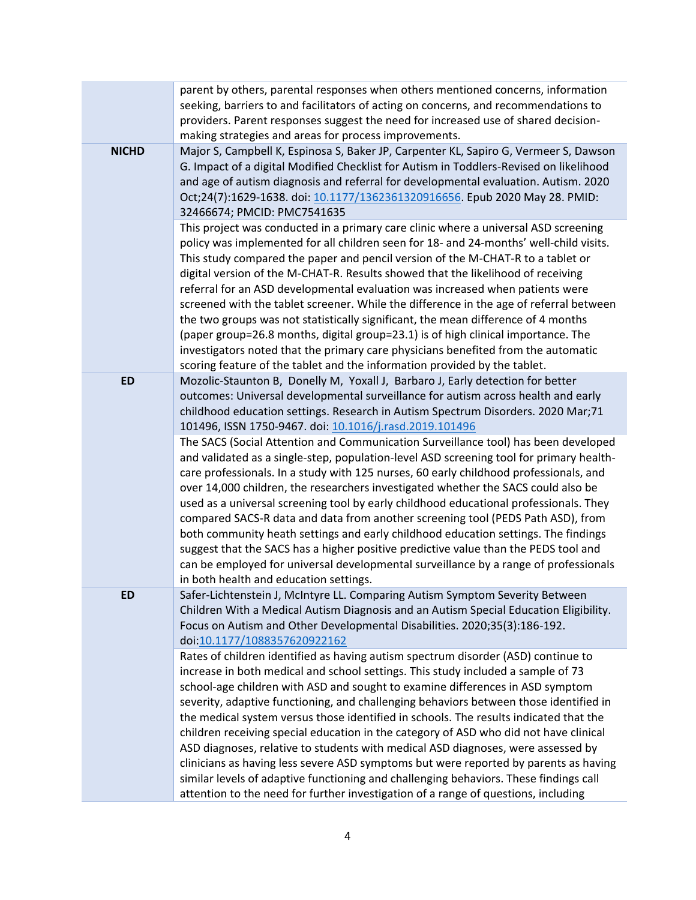|              | parent by others, parental responses when others mentioned concerns, information<br>seeking, barriers to and facilitators of acting on concerns, and recommendations to<br>providers. Parent responses suggest the need for increased use of shared decision-<br>making strategies and areas for process improvements.                                                                                                                                                                                                                                                                                                                                                                                                                                                                                                                                                                       |
|--------------|----------------------------------------------------------------------------------------------------------------------------------------------------------------------------------------------------------------------------------------------------------------------------------------------------------------------------------------------------------------------------------------------------------------------------------------------------------------------------------------------------------------------------------------------------------------------------------------------------------------------------------------------------------------------------------------------------------------------------------------------------------------------------------------------------------------------------------------------------------------------------------------------|
| <b>NICHD</b> | Major S, Campbell K, Espinosa S, Baker JP, Carpenter KL, Sapiro G, Vermeer S, Dawson<br>G. Impact of a digital Modified Checklist for Autism in Toddlers-Revised on likelihood<br>and age of autism diagnosis and referral for developmental evaluation. Autism. 2020<br>Oct;24(7):1629-1638. doi: 10.1177/1362361320916656. Epub 2020 May 28. PMID:<br>32466674; PMCID: PMC7541635                                                                                                                                                                                                                                                                                                                                                                                                                                                                                                          |
|              | This project was conducted in a primary care clinic where a universal ASD screening<br>policy was implemented for all children seen for 18- and 24-months' well-child visits.<br>This study compared the paper and pencil version of the M-CHAT-R to a tablet or<br>digital version of the M-CHAT-R. Results showed that the likelihood of receiving<br>referral for an ASD developmental evaluation was increased when patients were<br>screened with the tablet screener. While the difference in the age of referral between<br>the two groups was not statistically significant, the mean difference of 4 months<br>(paper group=26.8 months, digital group=23.1) is of high clinical importance. The<br>investigators noted that the primary care physicians benefited from the automatic<br>scoring feature of the tablet and the information provided by the tablet.                  |
| <b>ED</b>    | Mozolic-Staunton B, Donelly M, Yoxall J, Barbaro J, Early detection for better<br>outcomes: Universal developmental surveillance for autism across health and early<br>childhood education settings. Research in Autism Spectrum Disorders. 2020 Mar;71<br>101496, ISSN 1750-9467. doi: 10.1016/j.rasd.2019.101496                                                                                                                                                                                                                                                                                                                                                                                                                                                                                                                                                                           |
|              | The SACS (Social Attention and Communication Surveillance tool) has been developed<br>and validated as a single-step, population-level ASD screening tool for primary health-<br>care professionals. In a study with 125 nurses, 60 early childhood professionals, and<br>over 14,000 children, the researchers investigated whether the SACS could also be<br>used as a universal screening tool by early childhood educational professionals. They<br>compared SACS-R data and data from another screening tool (PEDS Path ASD), from<br>both community heath settings and early childhood education settings. The findings<br>suggest that the SACS has a higher positive predictive value than the PEDS tool and<br>can be employed for universal developmental surveillance by a range of professionals<br>in both health and education settings.                                       |
| ED           | Safer-Lichtenstein J, McIntyre LL. Comparing Autism Symptom Severity Between<br>Children With a Medical Autism Diagnosis and an Autism Special Education Eligibility.<br>Focus on Autism and Other Developmental Disabilities. 2020;35(3):186-192.<br>doi:10.1177/1088357620922162                                                                                                                                                                                                                                                                                                                                                                                                                                                                                                                                                                                                           |
|              | Rates of children identified as having autism spectrum disorder (ASD) continue to<br>increase in both medical and school settings. This study included a sample of 73<br>school-age children with ASD and sought to examine differences in ASD symptom<br>severity, adaptive functioning, and challenging behaviors between those identified in<br>the medical system versus those identified in schools. The results indicated that the<br>children receiving special education in the category of ASD who did not have clinical<br>ASD diagnoses, relative to students with medical ASD diagnoses, were assessed by<br>clinicians as having less severe ASD symptoms but were reported by parents as having<br>similar levels of adaptive functioning and challenging behaviors. These findings call<br>attention to the need for further investigation of a range of questions, including |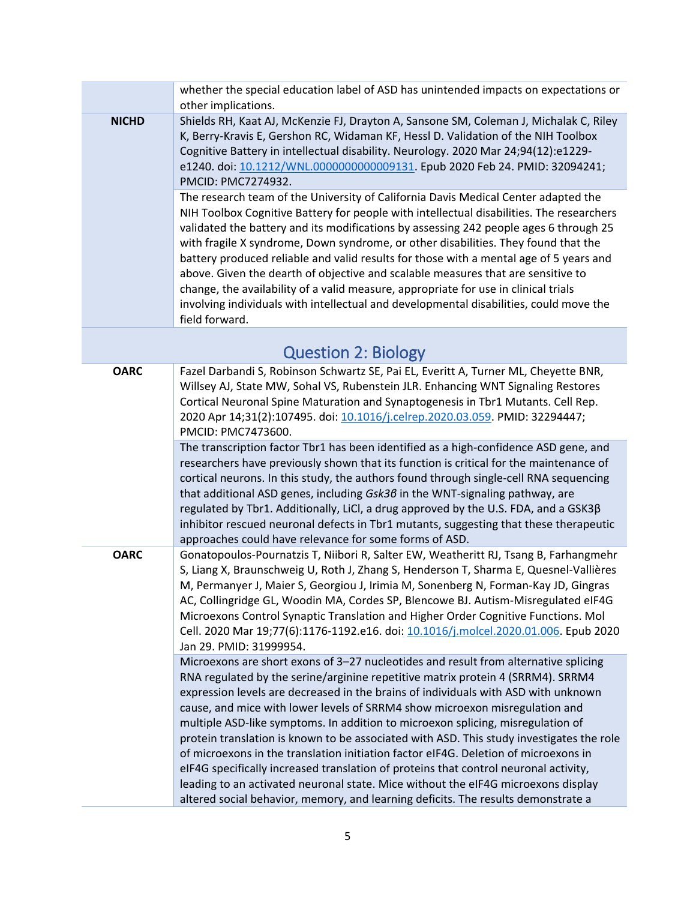<span id="page-4-0"></span>

|              | whether the special education label of ASD has unintended impacts on expectations or<br>other implications.                                                                                                                                                                                                                                                                                                                                                                                                                                                                                                                                                                                                                                                                                                                                                                         |
|--------------|-------------------------------------------------------------------------------------------------------------------------------------------------------------------------------------------------------------------------------------------------------------------------------------------------------------------------------------------------------------------------------------------------------------------------------------------------------------------------------------------------------------------------------------------------------------------------------------------------------------------------------------------------------------------------------------------------------------------------------------------------------------------------------------------------------------------------------------------------------------------------------------|
| <b>NICHD</b> | Shields RH, Kaat AJ, McKenzie FJ, Drayton A, Sansone SM, Coleman J, Michalak C, Riley<br>K, Berry-Kravis E, Gershon RC, Widaman KF, Hessl D. Validation of the NIH Toolbox<br>Cognitive Battery in intellectual disability. Neurology. 2020 Mar 24;94(12):e1229-<br>e1240. doi: 10.1212/WNL.0000000000009131. Epub 2020 Feb 24. PMID: 32094241;<br>PMCID: PMC7274932.                                                                                                                                                                                                                                                                                                                                                                                                                                                                                                               |
|              | The research team of the University of California Davis Medical Center adapted the<br>NIH Toolbox Cognitive Battery for people with intellectual disabilities. The researchers<br>validated the battery and its modifications by assessing 242 people ages 6 through 25<br>with fragile X syndrome, Down syndrome, or other disabilities. They found that the<br>battery produced reliable and valid results for those with a mental age of 5 years and<br>above. Given the dearth of objective and scalable measures that are sensitive to<br>change, the availability of a valid measure, appropriate for use in clinical trials<br>involving individuals with intellectual and developmental disabilities, could move the<br>field forward.                                                                                                                                      |
|              | <b>Question 2: Biology</b>                                                                                                                                                                                                                                                                                                                                                                                                                                                                                                                                                                                                                                                                                                                                                                                                                                                          |
| <b>OARC</b>  | Fazel Darbandi S, Robinson Schwartz SE, Pai EL, Everitt A, Turner ML, Cheyette BNR,<br>Willsey AJ, State MW, Sohal VS, Rubenstein JLR. Enhancing WNT Signaling Restores<br>Cortical Neuronal Spine Maturation and Synaptogenesis in Tbr1 Mutants. Cell Rep.<br>2020 Apr 14;31(2):107495. doi: 10.1016/j.celrep.2020.03.059. PMID: 32294447;<br>PMCID: PMC7473600.                                                                                                                                                                                                                                                                                                                                                                                                                                                                                                                   |
|              | The transcription factor Tbr1 has been identified as a high-confidence ASD gene, and<br>researchers have previously shown that its function is critical for the maintenance of<br>cortical neurons. In this study, the authors found through single-cell RNA sequencing<br>that additional ASD genes, including Gsk36 in the WNT-signaling pathway, are<br>regulated by Tbr1. Additionally, LiCl, a drug approved by the U.S. FDA, and a GSK3ß<br>inhibitor rescued neuronal defects in Tbr1 mutants, suggesting that these therapeutic<br>approaches could have relevance for some forms of ASD.                                                                                                                                                                                                                                                                                   |
| <b>OARC</b>  | Gonatopoulos-Pournatzis T, Niibori R, Salter EW, Weatheritt RJ, Tsang B, Farhangmehr<br>S, Liang X, Braunschweig U, Roth J, Zhang S, Henderson T, Sharma E, Quesnel-Vallières<br>M, Permanyer J, Maier S, Georgiou J, Irimia M, Sonenberg N, Forman-Kay JD, Gingras<br>AC, Collingridge GL, Woodin MA, Cordes SP, Blencowe BJ. Autism-Misregulated eIF4G<br>Microexons Control Synaptic Translation and Higher Order Cognitive Functions. Mol<br>Cell. 2020 Mar 19;77(6):1176-1192.e16. doi: 10.1016/j.molcel.2020.01.006. Epub 2020<br>Jan 29. PMID: 31999954.                                                                                                                                                                                                                                                                                                                     |
|              | Microexons are short exons of 3-27 nucleotides and result from alternative splicing<br>RNA regulated by the serine/arginine repetitive matrix protein 4 (SRRM4). SRRM4<br>expression levels are decreased in the brains of individuals with ASD with unknown<br>cause, and mice with lower levels of SRRM4 show microexon misregulation and<br>multiple ASD-like symptoms. In addition to microexon splicing, misregulation of<br>protein translation is known to be associated with ASD. This study investigates the role<br>of microexons in the translation initiation factor eIF4G. Deletion of microexons in<br>eIF4G specifically increased translation of proteins that control neuronal activity,<br>leading to an activated neuronal state. Mice without the eIF4G microexons display<br>altered social behavior, memory, and learning deficits. The results demonstrate a |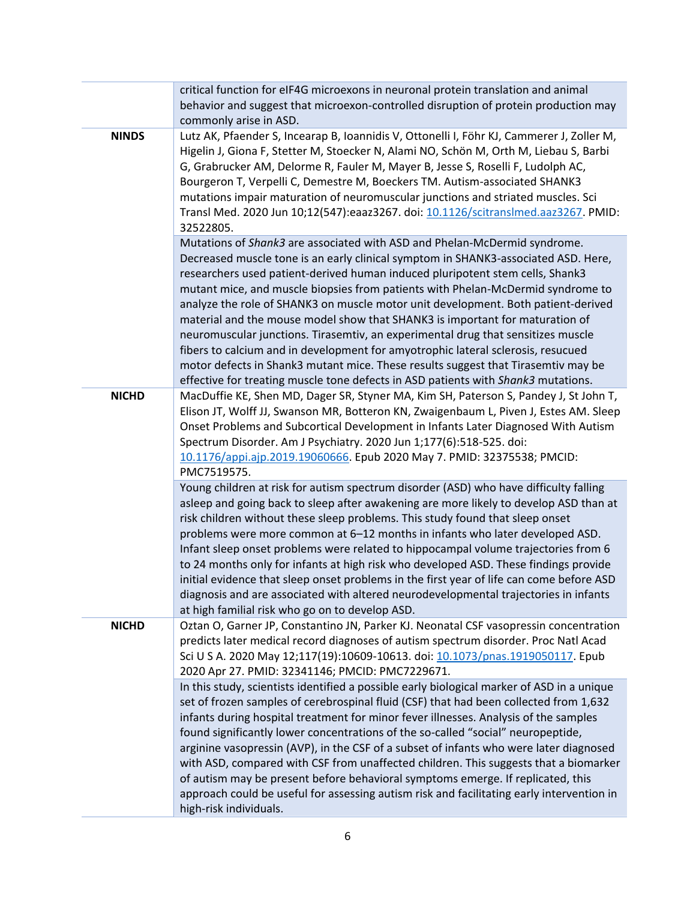|              | critical function for eIF4G microexons in neuronal protein translation and animal<br>behavior and suggest that microexon-controlled disruption of protein production may<br>commonly arise in ASD.                                                                                                                                                                                                                                                                                                                                                                                                                                                                                                                                                                                                                                                         |
|--------------|------------------------------------------------------------------------------------------------------------------------------------------------------------------------------------------------------------------------------------------------------------------------------------------------------------------------------------------------------------------------------------------------------------------------------------------------------------------------------------------------------------------------------------------------------------------------------------------------------------------------------------------------------------------------------------------------------------------------------------------------------------------------------------------------------------------------------------------------------------|
| <b>NINDS</b> | Lutz AK, Pfaender S, Incearap B, Ioannidis V, Ottonelli I, Föhr KJ, Cammerer J, Zoller M,<br>Higelin J, Giona F, Stetter M, Stoecker N, Alami NO, Schön M, Orth M, Liebau S, Barbi<br>G, Grabrucker AM, Delorme R, Fauler M, Mayer B, Jesse S, Roselli F, Ludolph AC,<br>Bourgeron T, Verpelli C, Demestre M, Boeckers TM. Autism-associated SHANK3<br>mutations impair maturation of neuromuscular junctions and striated muscles. Sci<br>Transl Med. 2020 Jun 10;12(547):eaaz3267. doi: 10.1126/scitranslmed.aaz3267. PMID:<br>32522805.                                                                                                                                                                                                                                                                                                                 |
|              | Mutations of Shank3 are associated with ASD and Phelan-McDermid syndrome.<br>Decreased muscle tone is an early clinical symptom in SHANK3-associated ASD. Here,<br>researchers used patient-derived human induced pluripotent stem cells, Shank3<br>mutant mice, and muscle biopsies from patients with Phelan-McDermid syndrome to<br>analyze the role of SHANK3 on muscle motor unit development. Both patient-derived<br>material and the mouse model show that SHANK3 is important for maturation of<br>neuromuscular junctions. Tirasemtiv, an experimental drug that sensitizes muscle<br>fibers to calcium and in development for amyotrophic lateral sclerosis, resucued<br>motor defects in Shank3 mutant mice. These results suggest that Tirasemtiv may be<br>effective for treating muscle tone defects in ASD patients with Shank3 mutations. |
| <b>NICHD</b> | MacDuffie KE, Shen MD, Dager SR, Styner MA, Kim SH, Paterson S, Pandey J, St John T,<br>Elison JT, Wolff JJ, Swanson MR, Botteron KN, Zwaigenbaum L, Piven J, Estes AM. Sleep<br>Onset Problems and Subcortical Development in Infants Later Diagnosed With Autism<br>Spectrum Disorder. Am J Psychiatry. 2020 Jun 1;177(6):518-525. doi:<br>10.1176/appi.ajp.2019.19060666. Epub 2020 May 7. PMID: 32375538; PMCID:<br>PMC7519575.                                                                                                                                                                                                                                                                                                                                                                                                                        |
|              | Young children at risk for autism spectrum disorder (ASD) who have difficulty falling<br>asleep and going back to sleep after awakening are more likely to develop ASD than at<br>risk children without these sleep problems. This study found that sleep onset<br>problems were more common at 6-12 months in infants who later developed ASD.<br>Infant sleep onset problems were related to hippocampal volume trajectories from 6<br>to 24 months only for infants at high risk who developed ASD. These findings provide<br>initial evidence that sleep onset problems in the first year of life can come before ASD<br>diagnosis and are associated with altered neurodevelopmental trajectories in infants<br>at high familial risk who go on to develop ASD.                                                                                       |
| <b>NICHD</b> | Oztan O, Garner JP, Constantino JN, Parker KJ. Neonatal CSF vasopressin concentration<br>predicts later medical record diagnoses of autism spectrum disorder. Proc Natl Acad<br>Sci U S A. 2020 May 12;117(19):10609-10613. doi: 10.1073/pnas.1919050117. Epub<br>2020 Apr 27. PMID: 32341146; PMCID: PMC7229671.                                                                                                                                                                                                                                                                                                                                                                                                                                                                                                                                          |
|              | In this study, scientists identified a possible early biological marker of ASD in a unique<br>set of frozen samples of cerebrospinal fluid (CSF) that had been collected from 1,632<br>infants during hospital treatment for minor fever illnesses. Analysis of the samples<br>found significantly lower concentrations of the so-called "social" neuropeptide,<br>arginine vasopressin (AVP), in the CSF of a subset of infants who were later diagnosed<br>with ASD, compared with CSF from unaffected children. This suggests that a biomarker<br>of autism may be present before behavioral symptoms emerge. If replicated, this<br>approach could be useful for assessing autism risk and facilitating early intervention in<br>high-risk individuals.                                                                                                |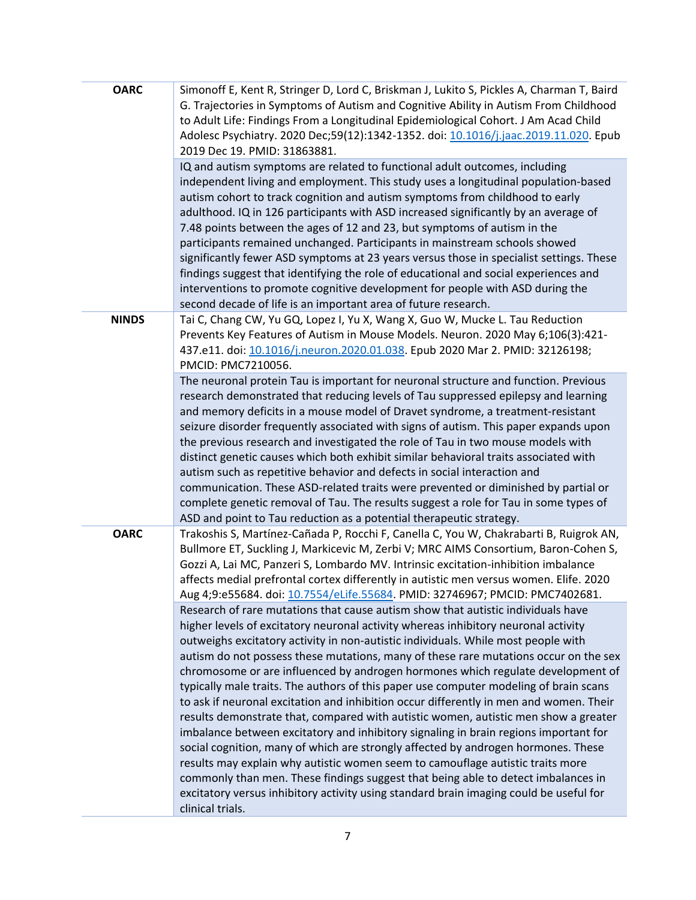| <b>OARC</b>  | Simonoff E, Kent R, Stringer D, Lord C, Briskman J, Lukito S, Pickles A, Charman T, Baird<br>G. Trajectories in Symptoms of Autism and Cognitive Ability in Autism From Childhood<br>to Adult Life: Findings From a Longitudinal Epidemiological Cohort. J Am Acad Child<br>Adolesc Psychiatry. 2020 Dec;59(12):1342-1352. doi: 10.1016/j.jaac.2019.11.020. Epub<br>2019 Dec 19. PMID: 31863881.                                                                                                                                                                                                                                                                                                                                                                                                                                                                                                                                                                                                                                                                                                                                                                                   |
|--------------|------------------------------------------------------------------------------------------------------------------------------------------------------------------------------------------------------------------------------------------------------------------------------------------------------------------------------------------------------------------------------------------------------------------------------------------------------------------------------------------------------------------------------------------------------------------------------------------------------------------------------------------------------------------------------------------------------------------------------------------------------------------------------------------------------------------------------------------------------------------------------------------------------------------------------------------------------------------------------------------------------------------------------------------------------------------------------------------------------------------------------------------------------------------------------------|
|              | IQ and autism symptoms are related to functional adult outcomes, including<br>independent living and employment. This study uses a longitudinal population-based<br>autism cohort to track cognition and autism symptoms from childhood to early<br>adulthood. IQ in 126 participants with ASD increased significantly by an average of<br>7.48 points between the ages of 12 and 23, but symptoms of autism in the<br>participants remained unchanged. Participants in mainstream schools showed<br>significantly fewer ASD symptoms at 23 years versus those in specialist settings. These<br>findings suggest that identifying the role of educational and social experiences and<br>interventions to promote cognitive development for people with ASD during the<br>second decade of life is an important area of future research.                                                                                                                                                                                                                                                                                                                                            |
| <b>NINDS</b> | Tai C, Chang CW, Yu GQ, Lopez I, Yu X, Wang X, Guo W, Mucke L. Tau Reduction<br>Prevents Key Features of Autism in Mouse Models. Neuron. 2020 May 6;106(3):421-<br>437.e11. doi: 10.1016/j.neuron.2020.01.038. Epub 2020 Mar 2. PMID: 32126198;<br>PMCID: PMC7210056.                                                                                                                                                                                                                                                                                                                                                                                                                                                                                                                                                                                                                                                                                                                                                                                                                                                                                                              |
|              | The neuronal protein Tau is important for neuronal structure and function. Previous<br>research demonstrated that reducing levels of Tau suppressed epilepsy and learning<br>and memory deficits in a mouse model of Dravet syndrome, a treatment-resistant<br>seizure disorder frequently associated with signs of autism. This paper expands upon<br>the previous research and investigated the role of Tau in two mouse models with<br>distinct genetic causes which both exhibit similar behavioral traits associated with<br>autism such as repetitive behavior and defects in social interaction and<br>communication. These ASD-related traits were prevented or diminished by partial or<br>complete genetic removal of Tau. The results suggest a role for Tau in some types of<br>ASD and point to Tau reduction as a potential therapeutic strategy.                                                                                                                                                                                                                                                                                                                    |
| <b>OARC</b>  | Trakoshis S, Martínez-Cañada P, Rocchi F, Canella C, You W, Chakrabarti B, Ruigrok AN,<br>Bullmore ET, Suckling J, Markicevic M, Zerbi V; MRC AIMS Consortium, Baron-Cohen S,<br>Gozzi A, Lai MC, Panzeri S, Lombardo MV. Intrinsic excitation-inhibition imbalance<br>affects medial prefrontal cortex differently in autistic men versus women. Elife. 2020<br>Aug 4;9:e55684. doi: 10.7554/eLife.55684. PMID: 32746967; PMCID: PMC7402681.                                                                                                                                                                                                                                                                                                                                                                                                                                                                                                                                                                                                                                                                                                                                      |
|              | Research of rare mutations that cause autism show that autistic individuals have<br>higher levels of excitatory neuronal activity whereas inhibitory neuronal activity<br>outweighs excitatory activity in non-autistic individuals. While most people with<br>autism do not possess these mutations, many of these rare mutations occur on the sex<br>chromosome or are influenced by androgen hormones which regulate development of<br>typically male traits. The authors of this paper use computer modeling of brain scans<br>to ask if neuronal excitation and inhibition occur differently in men and women. Their<br>results demonstrate that, compared with autistic women, autistic men show a greater<br>imbalance between excitatory and inhibitory signaling in brain regions important for<br>social cognition, many of which are strongly affected by androgen hormones. These<br>results may explain why autistic women seem to camouflage autistic traits more<br>commonly than men. These findings suggest that being able to detect imbalances in<br>excitatory versus inhibitory activity using standard brain imaging could be useful for<br>clinical trials. |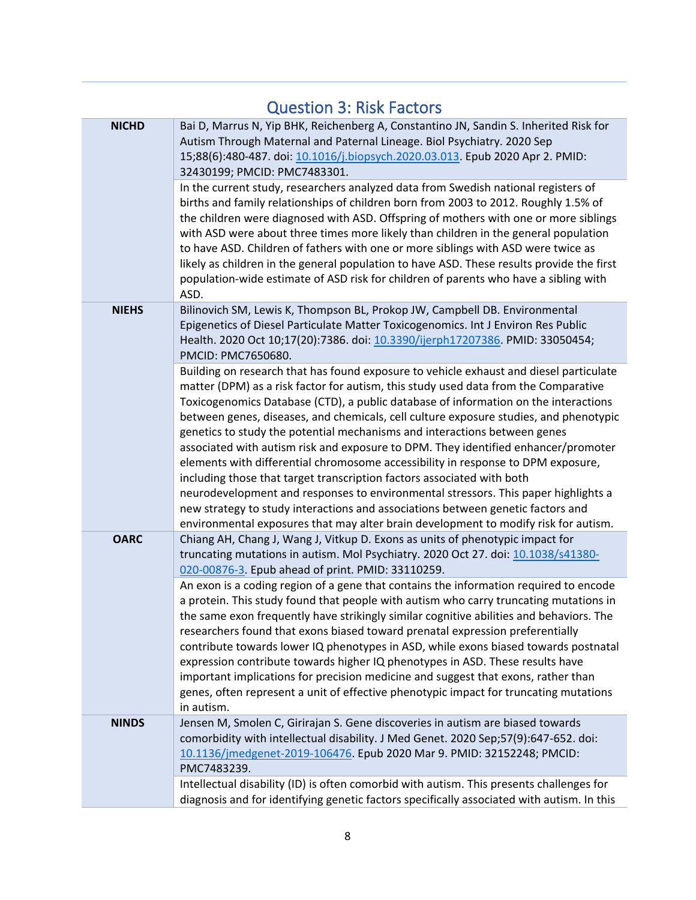<span id="page-7-0"></span>

| <b>Question 3: Risk Factors</b> |                                                                                                                                                                                                                                                                                                                                                                                                                                                                                                                                                                                                                                                                                                                                                                                                                                                                                                                                                                |
|---------------------------------|----------------------------------------------------------------------------------------------------------------------------------------------------------------------------------------------------------------------------------------------------------------------------------------------------------------------------------------------------------------------------------------------------------------------------------------------------------------------------------------------------------------------------------------------------------------------------------------------------------------------------------------------------------------------------------------------------------------------------------------------------------------------------------------------------------------------------------------------------------------------------------------------------------------------------------------------------------------|
| <b>NICHD</b>                    | Bai D, Marrus N, Yip BHK, Reichenberg A, Constantino JN, Sandin S. Inherited Risk for<br>Autism Through Maternal and Paternal Lineage. Biol Psychiatry. 2020 Sep<br>15;88(6):480-487. doi: 10.1016/j.biopsych.2020.03.013. Epub 2020 Apr 2. PMID:<br>32430199; PMCID: PMC7483301.                                                                                                                                                                                                                                                                                                                                                                                                                                                                                                                                                                                                                                                                              |
|                                 | In the current study, researchers analyzed data from Swedish national registers of<br>births and family relationships of children born from 2003 to 2012. Roughly 1.5% of<br>the children were diagnosed with ASD. Offspring of mothers with one or more siblings<br>with ASD were about three times more likely than children in the general population<br>to have ASD. Children of fathers with one or more siblings with ASD were twice as<br>likely as children in the general population to have ASD. These results provide the first<br>population-wide estimate of ASD risk for children of parents who have a sibling with<br>ASD.                                                                                                                                                                                                                                                                                                                     |
| <b>NIEHS</b>                    | Bilinovich SM, Lewis K, Thompson BL, Prokop JW, Campbell DB. Environmental<br>Epigenetics of Diesel Particulate Matter Toxicogenomics. Int J Environ Res Public<br>Health. 2020 Oct 10;17(20):7386. doi: 10.3390/ijerph17207386. PMID: 33050454;<br>PMCID: PMC7650680.                                                                                                                                                                                                                                                                                                                                                                                                                                                                                                                                                                                                                                                                                         |
|                                 | Building on research that has found exposure to vehicle exhaust and diesel particulate<br>matter (DPM) as a risk factor for autism, this study used data from the Comparative<br>Toxicogenomics Database (CTD), a public database of information on the interactions<br>between genes, diseases, and chemicals, cell culture exposure studies, and phenotypic<br>genetics to study the potential mechanisms and interactions between genes<br>associated with autism risk and exposure to DPM. They identified enhancer/promoter<br>elements with differential chromosome accessibility in response to DPM exposure,<br>including those that target transcription factors associated with both<br>neurodevelopment and responses to environmental stressors. This paper highlights a<br>new strategy to study interactions and associations between genetic factors and<br>environmental exposures that may alter brain development to modify risk for autism. |
| <b>OARC</b>                     | Chiang AH, Chang J, Wang J, Vitkup D. Exons as units of phenotypic impact for<br>truncating mutations in autism. Mol Psychiatry. 2020 Oct 27. doi: 10.1038/s41380-<br>020-00876-3 Epub ahead of print. PMID: 33110259.                                                                                                                                                                                                                                                                                                                                                                                                                                                                                                                                                                                                                                                                                                                                         |
|                                 | An exon is a coding region of a gene that contains the information required to encode<br>a protein. This study found that people with autism who carry truncating mutations in<br>the same exon frequently have strikingly similar cognitive abilities and behaviors. The<br>researchers found that exons biased toward prenatal expression preferentially<br>contribute towards lower IQ phenotypes in ASD, while exons biased towards postnatal<br>expression contribute towards higher IQ phenotypes in ASD. These results have<br>important implications for precision medicine and suggest that exons, rather than<br>genes, often represent a unit of effective phenotypic impact for truncating mutations<br>in autism.                                                                                                                                                                                                                                 |
| <b>NINDS</b>                    | Jensen M, Smolen C, Girirajan S. Gene discoveries in autism are biased towards<br>comorbidity with intellectual disability. J Med Genet. 2020 Sep;57(9):647-652. doi:<br>10.1136/jmedgenet-2019-106476. Epub 2020 Mar 9. PMID: 32152248; PMCID:<br>PMC7483239.                                                                                                                                                                                                                                                                                                                                                                                                                                                                                                                                                                                                                                                                                                 |
|                                 | Intellectual disability (ID) is often comorbid with autism. This presents challenges for<br>diagnosis and for identifying genetic factors specifically associated with autism. In this                                                                                                                                                                                                                                                                                                                                                                                                                                                                                                                                                                                                                                                                                                                                                                         |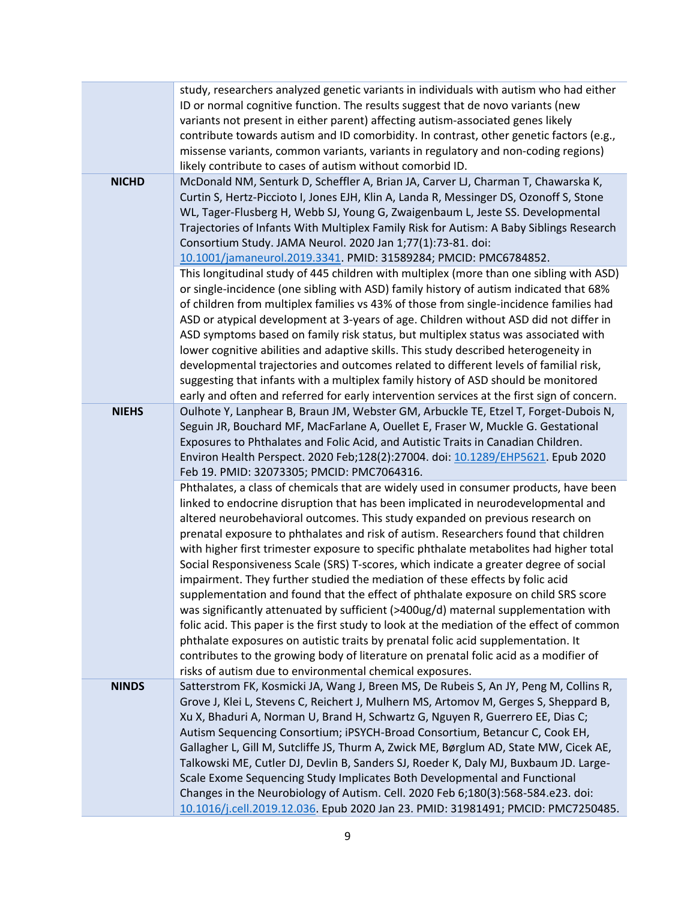|              | study, researchers analyzed genetic variants in individuals with autism who had either<br>ID or normal cognitive function. The results suggest that de novo variants (new<br>variants not present in either parent) affecting autism-associated genes likely<br>contribute towards autism and ID comorbidity. In contrast, other genetic factors (e.g.,<br>missense variants, common variants, variants in regulatory and non-coding regions)<br>likely contribute to cases of autism without comorbid ID.                                                                                                                                                                                                                                                                                                                                                                                                                                                                                                                                                                                                                                   |
|--------------|----------------------------------------------------------------------------------------------------------------------------------------------------------------------------------------------------------------------------------------------------------------------------------------------------------------------------------------------------------------------------------------------------------------------------------------------------------------------------------------------------------------------------------------------------------------------------------------------------------------------------------------------------------------------------------------------------------------------------------------------------------------------------------------------------------------------------------------------------------------------------------------------------------------------------------------------------------------------------------------------------------------------------------------------------------------------------------------------------------------------------------------------|
| <b>NICHD</b> | McDonald NM, Senturk D, Scheffler A, Brian JA, Carver LJ, Charman T, Chawarska K,<br>Curtin S, Hertz-Piccioto I, Jones EJH, Klin A, Landa R, Messinger DS, Ozonoff S, Stone<br>WL, Tager-Flusberg H, Webb SJ, Young G, Zwaigenbaum L, Jeste SS. Developmental<br>Trajectories of Infants With Multiplex Family Risk for Autism: A Baby Siblings Research<br>Consortium Study. JAMA Neurol. 2020 Jan 1;77(1):73-81. doi:<br>10.1001/jamaneurol.2019.3341. PMID: 31589284; PMCID: PMC6784852.<br>This longitudinal study of 445 children with multiplex (more than one sibling with ASD)<br>or single-incidence (one sibling with ASD) family history of autism indicated that 68%                                                                                                                                                                                                                                                                                                                                                                                                                                                             |
|              | of children from multiplex families vs 43% of those from single-incidence families had<br>ASD or atypical development at 3-years of age. Children without ASD did not differ in<br>ASD symptoms based on family risk status, but multiplex status was associated with<br>lower cognitive abilities and adaptive skills. This study described heterogeneity in<br>developmental trajectories and outcomes related to different levels of familial risk,<br>suggesting that infants with a multiplex family history of ASD should be monitored<br>early and often and referred for early intervention services at the first sign of concern.                                                                                                                                                                                                                                                                                                                                                                                                                                                                                                   |
| <b>NIEHS</b> | Oulhote Y, Lanphear B, Braun JM, Webster GM, Arbuckle TE, Etzel T, Forget-Dubois N,<br>Seguin JR, Bouchard MF, MacFarlane A, Ouellet E, Fraser W, Muckle G. Gestational<br>Exposures to Phthalates and Folic Acid, and Autistic Traits in Canadian Children.<br>Environ Health Perspect. 2020 Feb;128(2):27004. doi: 10.1289/EHP5621. Epub 2020<br>Feb 19. PMID: 32073305; PMCID: PMC7064316.                                                                                                                                                                                                                                                                                                                                                                                                                                                                                                                                                                                                                                                                                                                                                |
|              | Phthalates, a class of chemicals that are widely used in consumer products, have been<br>linked to endocrine disruption that has been implicated in neurodevelopmental and<br>altered neurobehavioral outcomes. This study expanded on previous research on<br>prenatal exposure to phthalates and risk of autism. Researchers found that children<br>with higher first trimester exposure to specific phthalate metabolites had higher total<br>Social Responsiveness Scale (SRS) T-scores, which indicate a greater degree of social<br>impairment. They further studied the mediation of these effects by folic acid<br>supplementation and found that the effect of phthalate exposure on child SRS score<br>was significantly attenuated by sufficient (>400ug/d) maternal supplementation with<br>folic acid. This paper is the first study to look at the mediation of the effect of common<br>phthalate exposures on autistic traits by prenatal folic acid supplementation. It<br>contributes to the growing body of literature on prenatal folic acid as a modifier of<br>risks of autism due to environmental chemical exposures. |
| <b>NINDS</b> | Satterstrom FK, Kosmicki JA, Wang J, Breen MS, De Rubeis S, An JY, Peng M, Collins R,<br>Grove J, Klei L, Stevens C, Reichert J, Mulhern MS, Artomov M, Gerges S, Sheppard B,<br>Xu X, Bhaduri A, Norman U, Brand H, Schwartz G, Nguyen R, Guerrero EE, Dias C;<br>Autism Sequencing Consortium; iPSYCH-Broad Consortium, Betancur C, Cook EH,<br>Gallagher L, Gill M, Sutcliffe JS, Thurm A, Zwick ME, Børglum AD, State MW, Cicek AE,<br>Talkowski ME, Cutler DJ, Devlin B, Sanders SJ, Roeder K, Daly MJ, Buxbaum JD. Large-<br>Scale Exome Sequencing Study Implicates Both Developmental and Functional<br>Changes in the Neurobiology of Autism. Cell. 2020 Feb 6;180(3):568-584.e23. doi:                                                                                                                                                                                                                                                                                                                                                                                                                                             |
|              | 10.1016/j.cell.2019.12.036. Epub 2020 Jan 23. PMID: 31981491; PMCID: PMC7250485.                                                                                                                                                                                                                                                                                                                                                                                                                                                                                                                                                                                                                                                                                                                                                                                                                                                                                                                                                                                                                                                             |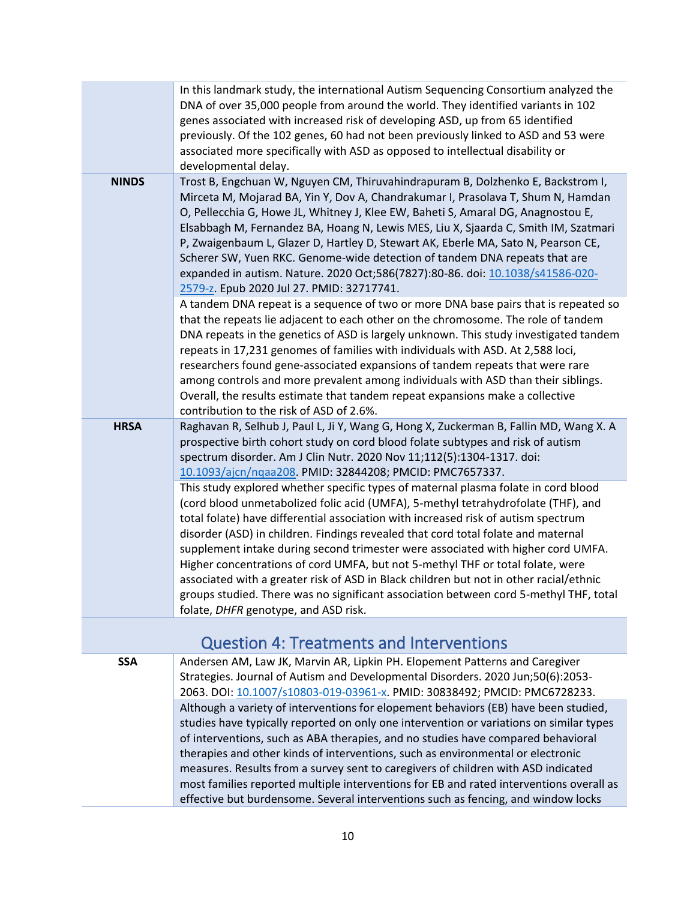|              | In this landmark study, the international Autism Sequencing Consortium analyzed the<br>DNA of over 35,000 people from around the world. They identified variants in 102<br>genes associated with increased risk of developing ASD, up from 65 identified<br>previously. Of the 102 genes, 60 had not been previously linked to ASD and 53 were<br>associated more specifically with ASD as opposed to intellectual disability or<br>developmental delay.                                                                                                                                                                                                                                                                                            |
|--------------|-----------------------------------------------------------------------------------------------------------------------------------------------------------------------------------------------------------------------------------------------------------------------------------------------------------------------------------------------------------------------------------------------------------------------------------------------------------------------------------------------------------------------------------------------------------------------------------------------------------------------------------------------------------------------------------------------------------------------------------------------------|
| <b>NINDS</b> | Trost B, Engchuan W, Nguyen CM, Thiruvahindrapuram B, Dolzhenko E, Backstrom I,<br>Mirceta M, Mojarad BA, Yin Y, Dov A, Chandrakumar I, Prasolava T, Shum N, Hamdan<br>O, Pellecchia G, Howe JL, Whitney J, Klee EW, Baheti S, Amaral DG, Anagnostou E,<br>Elsabbagh M, Fernandez BA, Hoang N, Lewis MES, Liu X, Sjaarda C, Smith IM, Szatmari<br>P, Zwaigenbaum L, Glazer D, Hartley D, Stewart AK, Eberle MA, Sato N, Pearson CE,<br>Scherer SW, Yuen RKC. Genome-wide detection of tandem DNA repeats that are<br>expanded in autism. Nature. 2020 Oct;586(7827):80-86. doi: 10.1038/s41586-020-<br>2579-z. Epub 2020 Jul 27. PMID: 32717741.                                                                                                    |
|              | A tandem DNA repeat is a sequence of two or more DNA base pairs that is repeated so<br>that the repeats lie adjacent to each other on the chromosome. The role of tandem<br>DNA repeats in the genetics of ASD is largely unknown. This study investigated tandem<br>repeats in 17,231 genomes of families with individuals with ASD. At 2,588 loci,<br>researchers found gene-associated expansions of tandem repeats that were rare<br>among controls and more prevalent among individuals with ASD than their siblings.<br>Overall, the results estimate that tandem repeat expansions make a collective<br>contribution to the risk of ASD of 2.6%.                                                                                             |
| <b>HRSA</b>  | Raghavan R, Selhub J, Paul L, Ji Y, Wang G, Hong X, Zuckerman B, Fallin MD, Wang X. A<br>prospective birth cohort study on cord blood folate subtypes and risk of autism<br>spectrum disorder. Am J Clin Nutr. 2020 Nov 11;112(5):1304-1317. doi:<br>10.1093/ajcn/ngaa208 PMID: 32844208; PMCID: PMC7657337.                                                                                                                                                                                                                                                                                                                                                                                                                                        |
|              | This study explored whether specific types of maternal plasma folate in cord blood<br>(cord blood unmetabolized folic acid (UMFA), 5-methyl tetrahydrofolate (THF), and<br>total folate) have differential association with increased risk of autism spectrum<br>disorder (ASD) in children. Findings revealed that cord total folate and maternal<br>supplement intake during second trimester were associated with higher cord UMFA.<br>Higher concentrations of cord UMFA, but not 5-methyl THF or total folate, were<br>associated with a greater risk of ASD in Black children but not in other racial/ethnic<br>groups studied. There was no significant association between cord 5-methyl THF, total<br>folate, DHFR genotype, and ASD risk. |
|              | <b>Question 4: Treatments and Interventions</b>                                                                                                                                                                                                                                                                                                                                                                                                                                                                                                                                                                                                                                                                                                     |

<span id="page-9-0"></span>**SSA** Andersen AM, Law JK, Marvin AR, Lipkin PH. Elopement Patterns and Caregiver Strategies. Journal of Autism and Developmental Disorders. 2020 Jun;50(6):2053- 2063. DOI: [10.1007/s10803-019-03961-x.](https://link.springer.com/article/10.1007%2Fs10803-019-03961-x) PMID: 30838492; PMCID: PMC6728233. Although a variety of interventions for elopement behaviors (EB) have been studied, studies have typically reported on only one intervention or variations on similar types of interventions, such as ABA therapies, and no studies have compared behavioral therapies and other kinds of interventions, such as environmental or electronic measures. Results from a survey sent to caregivers of children with ASD indicated most families reported multiple interventions for EB and rated interventions overall as effective but burdensome. Several interventions such as fencing, and window locks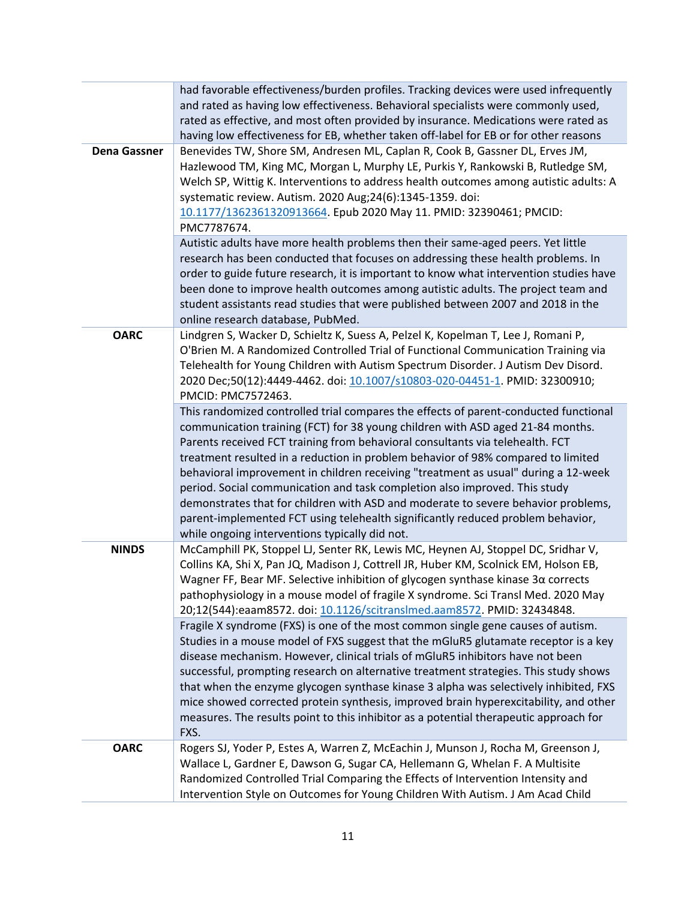|                     | had favorable effectiveness/burden profiles. Tracking devices were used infrequently<br>and rated as having low effectiveness. Behavioral specialists were commonly used,<br>rated as effective, and most often provided by insurance. Medications were rated as<br>having low effectiveness for EB, whether taken off-label for EB or for other reasons                                                                                                                                                                                                                                                                                                                                                                                  |
|---------------------|-------------------------------------------------------------------------------------------------------------------------------------------------------------------------------------------------------------------------------------------------------------------------------------------------------------------------------------------------------------------------------------------------------------------------------------------------------------------------------------------------------------------------------------------------------------------------------------------------------------------------------------------------------------------------------------------------------------------------------------------|
| <b>Dena Gassner</b> | Benevides TW, Shore SM, Andresen ML, Caplan R, Cook B, Gassner DL, Erves JM,<br>Hazlewood TM, King MC, Morgan L, Murphy LE, Purkis Y, Rankowski B, Rutledge SM,<br>Welch SP, Wittig K. Interventions to address health outcomes among autistic adults: A<br>systematic review. Autism. 2020 Aug;24(6):1345-1359. doi:<br>10.1177/1362361320913664. Epub 2020 May 11. PMID: 32390461; PMCID:<br>PMC7787674.                                                                                                                                                                                                                                                                                                                                |
|                     | Autistic adults have more health problems then their same-aged peers. Yet little<br>research has been conducted that focuses on addressing these health problems. In<br>order to guide future research, it is important to know what intervention studies have<br>been done to improve health outcomes among autistic adults. The project team and<br>student assistants read studies that were published between 2007 and 2018 in the<br>online research database, PubMed.                                                                                                                                                                                                                                                               |
| <b>OARC</b>         | Lindgren S, Wacker D, Schieltz K, Suess A, Pelzel K, Kopelman T, Lee J, Romani P,<br>O'Brien M. A Randomized Controlled Trial of Functional Communication Training via<br>Telehealth for Young Children with Autism Spectrum Disorder. J Autism Dev Disord.<br>2020 Dec;50(12):4449-4462. doi: 10.1007/s10803-020-04451-1. PMID: 32300910;<br>PMCID: PMC7572463.                                                                                                                                                                                                                                                                                                                                                                          |
|                     | This randomized controlled trial compares the effects of parent-conducted functional<br>communication training (FCT) for 38 young children with ASD aged 21-84 months.<br>Parents received FCT training from behavioral consultants via telehealth. FCT<br>treatment resulted in a reduction in problem behavior of 98% compared to limited<br>behavioral improvement in children receiving "treatment as usual" during a 12-week<br>period. Social communication and task completion also improved. This study<br>demonstrates that for children with ASD and moderate to severe behavior problems,<br>parent-implemented FCT using telehealth significantly reduced problem behavior,<br>while ongoing interventions typically did not. |
| <b>NINDS</b>        | McCamphill PK, Stoppel LJ, Senter RK, Lewis MC, Heynen AJ, Stoppel DC, Sridhar V,<br>Collins KA, Shi X, Pan JQ, Madison J, Cottrell JR, Huber KM, Scolnick EM, Holson EB,<br>Wagner FF, Bear MF. Selective inhibition of glycogen synthase kinase $3\alpha$ corrects<br>pathophysiology in a mouse model of fragile X syndrome. Sci Transl Med. 2020 May<br>20;12(544):eaam8572. doi: 10.1126/scitranslmed.aam8572. PMID: 32434848.                                                                                                                                                                                                                                                                                                       |
|                     | Fragile X syndrome (FXS) is one of the most common single gene causes of autism.<br>Studies in a mouse model of FXS suggest that the mGluR5 glutamate receptor is a key<br>disease mechanism. However, clinical trials of mGluR5 inhibitors have not been<br>successful, prompting research on alternative treatment strategies. This study shows<br>that when the enzyme glycogen synthase kinase 3 alpha was selectively inhibited, FXS<br>mice showed corrected protein synthesis, improved brain hyperexcitability, and other<br>measures. The results point to this inhibitor as a potential therapeutic approach for<br>FXS.                                                                                                        |
| <b>OARC</b>         | Rogers SJ, Yoder P, Estes A, Warren Z, McEachin J, Munson J, Rocha M, Greenson J,<br>Wallace L, Gardner E, Dawson G, Sugar CA, Hellemann G, Whelan F. A Multisite<br>Randomized Controlled Trial Comparing the Effects of Intervention Intensity and<br>Intervention Style on Outcomes for Young Children With Autism. J Am Acad Child                                                                                                                                                                                                                                                                                                                                                                                                    |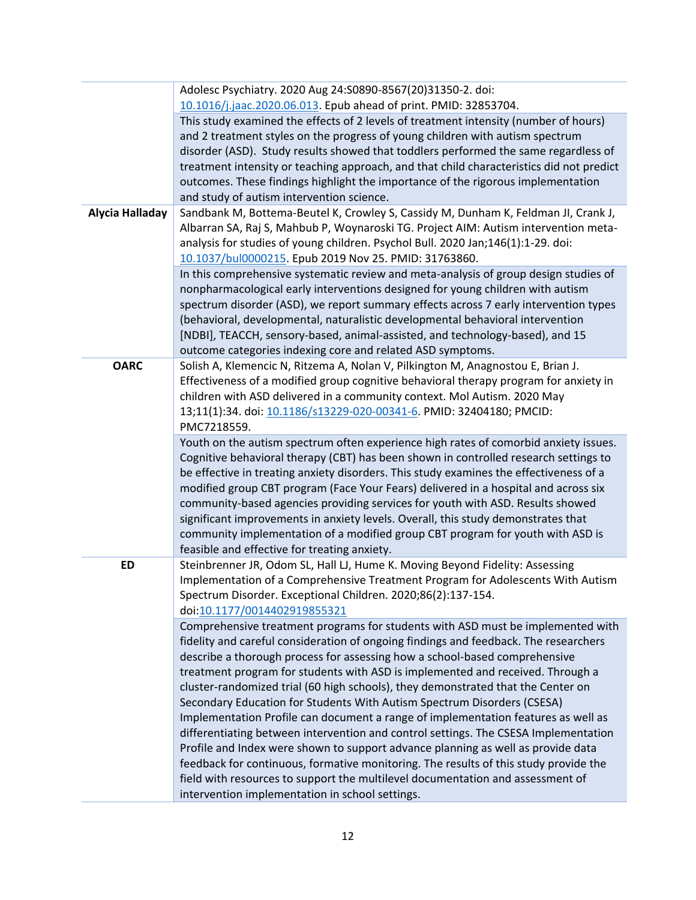|                 | Adolesc Psychiatry. 2020 Aug 24:S0890-8567(20)31350-2. doi:                                                                                                        |
|-----------------|--------------------------------------------------------------------------------------------------------------------------------------------------------------------|
|                 | 10.1016/j.jaac.2020.06.013. Epub ahead of print. PMID: 32853704.<br>This study examined the effects of 2 levels of treatment intensity (number of hours)           |
|                 | and 2 treatment styles on the progress of young children with autism spectrum                                                                                      |
|                 | disorder (ASD). Study results showed that toddlers performed the same regardless of                                                                                |
|                 | treatment intensity or teaching approach, and that child characteristics did not predict                                                                           |
|                 | outcomes. These findings highlight the importance of the rigorous implementation                                                                                   |
|                 | and study of autism intervention science.                                                                                                                          |
| Alycia Halladay | Sandbank M, Bottema-Beutel K, Crowley S, Cassidy M, Dunham K, Feldman JI, Crank J,                                                                                 |
|                 | Albarran SA, Raj S, Mahbub P, Woynaroski TG. Project AIM: Autism intervention meta-                                                                                |
|                 | analysis for studies of young children. Psychol Bull. 2020 Jan;146(1):1-29. doi:                                                                                   |
|                 | 10.1037/bul0000215. Epub 2019 Nov 25. PMID: 31763860.                                                                                                              |
|                 | In this comprehensive systematic review and meta-analysis of group design studies of                                                                               |
|                 | nonpharmacological early interventions designed for young children with autism                                                                                     |
|                 | spectrum disorder (ASD), we report summary effects across 7 early intervention types                                                                               |
|                 | (behavioral, developmental, naturalistic developmental behavioral intervention                                                                                     |
|                 | [NDBI], TEACCH, sensory-based, animal-assisted, and technology-based), and 15                                                                                      |
|                 | outcome categories indexing core and related ASD symptoms.                                                                                                         |
| <b>OARC</b>     | Solish A, Klemencic N, Ritzema A, Nolan V, Pilkington M, Anagnostou E, Brian J.                                                                                    |
|                 | Effectiveness of a modified group cognitive behavioral therapy program for anxiety in                                                                              |
|                 | children with ASD delivered in a community context. Mol Autism. 2020 May                                                                                           |
|                 | 13;11(1):34. doi: 10.1186/s13229-020-00341-6. PMID: 32404180; PMCID:<br>PMC7218559.                                                                                |
|                 | Youth on the autism spectrum often experience high rates of comorbid anxiety issues.                                                                               |
|                 | Cognitive behavioral therapy (CBT) has been shown in controlled research settings to                                                                               |
|                 | be effective in treating anxiety disorders. This study examines the effectiveness of a                                                                             |
|                 | modified group CBT program (Face Your Fears) delivered in a hospital and across six                                                                                |
|                 | community-based agencies providing services for youth with ASD. Results showed                                                                                     |
|                 | significant improvements in anxiety levels. Overall, this study demonstrates that                                                                                  |
|                 | community implementation of a modified group CBT program for youth with ASD is                                                                                     |
|                 | feasible and effective for treating anxiety.                                                                                                                       |
| <b>ED</b>       | Steinbrenner JR, Odom SL, Hall LJ, Hume K. Moving Beyond Fidelity: Assessing                                                                                       |
|                 | Implementation of a Comprehensive Treatment Program for Adolescents With Autism                                                                                    |
|                 | Spectrum Disorder. Exceptional Children. 2020;86(2):137-154.                                                                                                       |
|                 | doi:10.1177/0014402919855321                                                                                                                                       |
|                 | Comprehensive treatment programs for students with ASD must be implemented with                                                                                    |
|                 | fidelity and careful consideration of ongoing findings and feedback. The researchers                                                                               |
|                 | describe a thorough process for assessing how a school-based comprehensive                                                                                         |
|                 | treatment program for students with ASD is implemented and received. Through a<br>cluster-randomized trial (60 high schools), they demonstrated that the Center on |
|                 | Secondary Education for Students With Autism Spectrum Disorders (CSESA)                                                                                            |
|                 | Implementation Profile can document a range of implementation features as well as                                                                                  |
|                 | differentiating between intervention and control settings. The CSESA Implementation                                                                                |
|                 | Profile and Index were shown to support advance planning as well as provide data                                                                                   |
|                 | feedback for continuous, formative monitoring. The results of this study provide the                                                                               |
|                 | field with resources to support the multilevel documentation and assessment of                                                                                     |
|                 | intervention implementation in school settings.                                                                                                                    |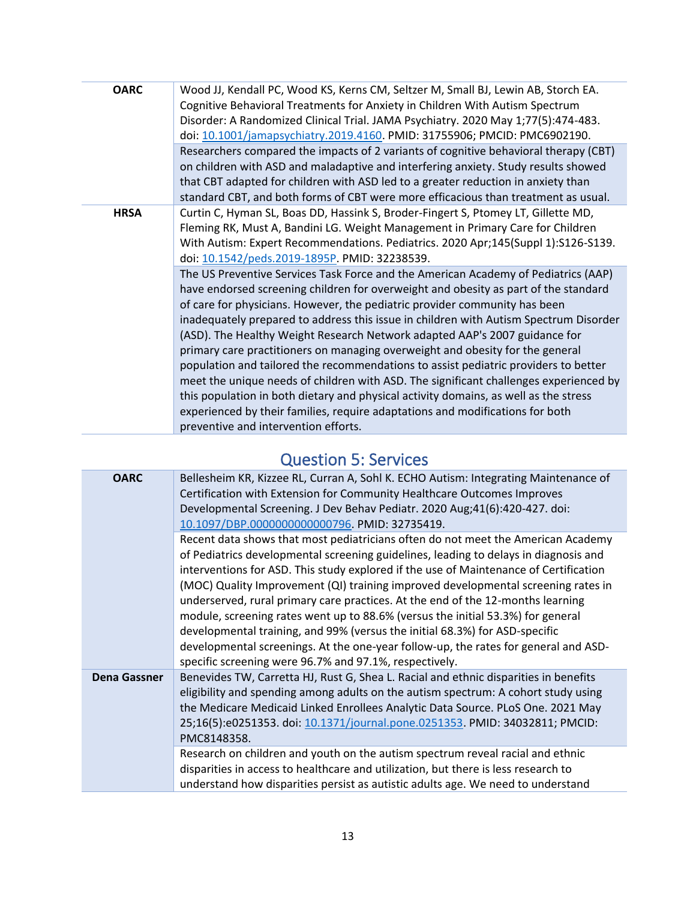| <b>OARC</b> | Wood JJ, Kendall PC, Wood KS, Kerns CM, Seltzer M, Small BJ, Lewin AB, Storch EA.<br>Cognitive Behavioral Treatments for Anxiety in Children With Autism Spectrum<br>Disorder: A Randomized Clinical Trial. JAMA Psychiatry. 2020 May 1;77(5):474-483.<br>doi: 10.1001/jamapsychiatry.2019.4160. PMID: 31755906; PMCID: PMC6902190.                                                                                                                                                                                                                                                                                                                                                                                                                                                                                                                                                                              |
|-------------|------------------------------------------------------------------------------------------------------------------------------------------------------------------------------------------------------------------------------------------------------------------------------------------------------------------------------------------------------------------------------------------------------------------------------------------------------------------------------------------------------------------------------------------------------------------------------------------------------------------------------------------------------------------------------------------------------------------------------------------------------------------------------------------------------------------------------------------------------------------------------------------------------------------|
|             | Researchers compared the impacts of 2 variants of cognitive behavioral therapy (CBT)<br>on children with ASD and maladaptive and interfering anxiety. Study results showed<br>that CBT adapted for children with ASD led to a greater reduction in anxiety than<br>standard CBT, and both forms of CBT were more efficacious than treatment as usual.                                                                                                                                                                                                                                                                                                                                                                                                                                                                                                                                                            |
| <b>HRSA</b> | Curtin C, Hyman SL, Boas DD, Hassink S, Broder-Fingert S, Ptomey LT, Gillette MD,<br>Fleming RK, Must A, Bandini LG. Weight Management in Primary Care for Children<br>With Autism: Expert Recommendations. Pediatrics. 2020 Apr;145(Suppl 1):S126-S139.<br>doi: 10.1542/peds.2019-1895P. PMID: 32238539.                                                                                                                                                                                                                                                                                                                                                                                                                                                                                                                                                                                                        |
|             | The US Preventive Services Task Force and the American Academy of Pediatrics (AAP)<br>have endorsed screening children for overweight and obesity as part of the standard<br>of care for physicians. However, the pediatric provider community has been<br>inadequately prepared to address this issue in children with Autism Spectrum Disorder<br>(ASD). The Healthy Weight Research Network adapted AAP's 2007 guidance for<br>primary care practitioners on managing overweight and obesity for the general<br>population and tailored the recommendations to assist pediatric providers to better<br>meet the unique needs of children with ASD. The significant challenges experienced by<br>this population in both dietary and physical activity domains, as well as the stress<br>experienced by their families, require adaptations and modifications for both<br>preventive and intervention efforts. |
|             |                                                                                                                                                                                                                                                                                                                                                                                                                                                                                                                                                                                                                                                                                                                                                                                                                                                                                                                  |

## Question 5: Services

<span id="page-12-0"></span>

| <b>OARC</b>         | Bellesheim KR, Kizzee RL, Curran A, Sohl K. ECHO Autism: Integrating Maintenance of<br>Certification with Extension for Community Healthcare Outcomes Improves<br>Developmental Screening. J Dev Behav Pediatr. 2020 Aug;41(6):420-427. doi:<br>10.1097/DBP.0000000000000796. PMID: 32735419.                                                                                                                                                                                                                                                                                                                                                                                                                                                                |
|---------------------|--------------------------------------------------------------------------------------------------------------------------------------------------------------------------------------------------------------------------------------------------------------------------------------------------------------------------------------------------------------------------------------------------------------------------------------------------------------------------------------------------------------------------------------------------------------------------------------------------------------------------------------------------------------------------------------------------------------------------------------------------------------|
|                     | Recent data shows that most pediatricians often do not meet the American Academy<br>of Pediatrics developmental screening guidelines, leading to delays in diagnosis and<br>interventions for ASD. This study explored if the use of Maintenance of Certification<br>(MOC) Quality Improvement (QI) training improved developmental screening rates in<br>underserved, rural primary care practices. At the end of the 12-months learning<br>module, screening rates went up to 88.6% (versus the initial 53.3%) for general<br>developmental training, and 99% (versus the initial 68.3%) for ASD-specific<br>developmental screenings. At the one-year follow-up, the rates for general and ASD-<br>specific screening were 96.7% and 97.1%, respectively. |
| <b>Dena Gassner</b> | Benevides TW, Carretta HJ, Rust G, Shea L. Racial and ethnic disparities in benefits<br>eligibility and spending among adults on the autism spectrum: A cohort study using<br>the Medicare Medicaid Linked Enrollees Analytic Data Source. PLoS One. 2021 May<br>25;16(5):e0251353. doi: 10.1371/journal.pone.0251353. PMID: 34032811; PMCID:<br>PMC8148358.                                                                                                                                                                                                                                                                                                                                                                                                 |
|                     | Research on children and youth on the autism spectrum reveal racial and ethnic<br>disparities in access to healthcare and utilization, but there is less research to<br>understand how disparities persist as autistic adults age. We need to understand                                                                                                                                                                                                                                                                                                                                                                                                                                                                                                     |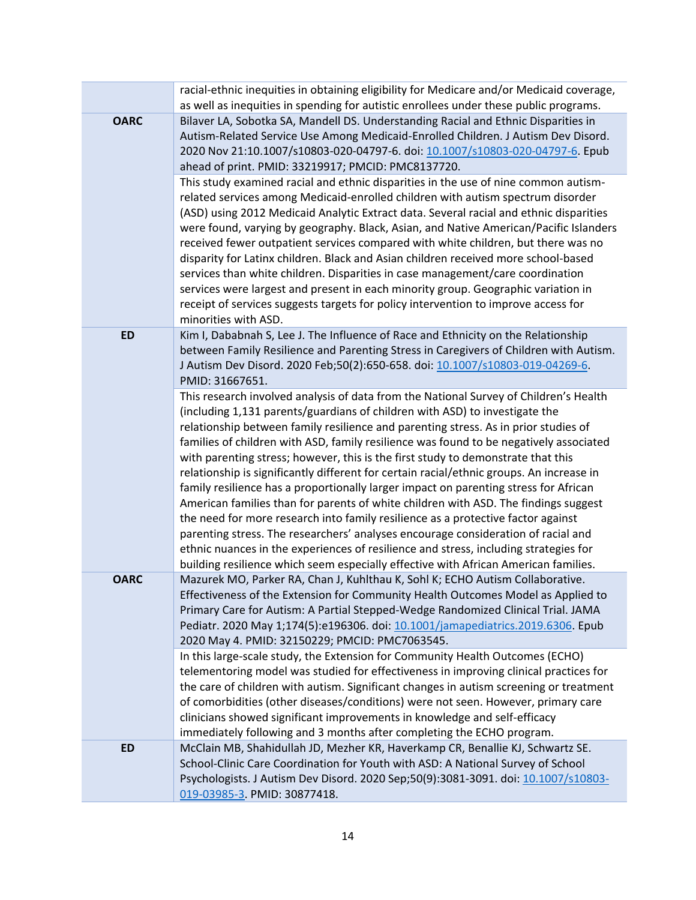|             | racial-ethnic inequities in obtaining eligibility for Medicare and/or Medicaid coverage,                                                                                                                                                                                                                                                                                                                                                                                                                                                                                                                                                                                                                                                                                                                                                                                                                                                                                                                                                                                     |
|-------------|------------------------------------------------------------------------------------------------------------------------------------------------------------------------------------------------------------------------------------------------------------------------------------------------------------------------------------------------------------------------------------------------------------------------------------------------------------------------------------------------------------------------------------------------------------------------------------------------------------------------------------------------------------------------------------------------------------------------------------------------------------------------------------------------------------------------------------------------------------------------------------------------------------------------------------------------------------------------------------------------------------------------------------------------------------------------------|
|             | as well as inequities in spending for autistic enrollees under these public programs.                                                                                                                                                                                                                                                                                                                                                                                                                                                                                                                                                                                                                                                                                                                                                                                                                                                                                                                                                                                        |
| <b>OARC</b> | Bilaver LA, Sobotka SA, Mandell DS. Understanding Racial and Ethnic Disparities in<br>Autism-Related Service Use Among Medicaid-Enrolled Children. J Autism Dev Disord.<br>2020 Nov 21:10.1007/s10803-020-04797-6. doi: 10.1007/s10803-020-04797-6. Epub<br>ahead of print. PMID: 33219917; PMCID: PMC8137720.                                                                                                                                                                                                                                                                                                                                                                                                                                                                                                                                                                                                                                                                                                                                                               |
|             | This study examined racial and ethnic disparities in the use of nine common autism-<br>related services among Medicaid-enrolled children with autism spectrum disorder<br>(ASD) using 2012 Medicaid Analytic Extract data. Several racial and ethnic disparities<br>were found, varying by geography. Black, Asian, and Native American/Pacific Islanders<br>received fewer outpatient services compared with white children, but there was no<br>disparity for Latinx children. Black and Asian children received more school-based<br>services than white children. Disparities in case management/care coordination<br>services were largest and present in each minority group. Geographic variation in<br>receipt of services suggests targets for policy intervention to improve access for<br>minorities with ASD.                                                                                                                                                                                                                                                    |
| <b>ED</b>   | Kim I, Dababnah S, Lee J. The Influence of Race and Ethnicity on the Relationship<br>between Family Resilience and Parenting Stress in Caregivers of Children with Autism.<br>J Autism Dev Disord. 2020 Feb;50(2):650-658. doi: 10.1007/s10803-019-04269-6.<br>PMID: 31667651.                                                                                                                                                                                                                                                                                                                                                                                                                                                                                                                                                                                                                                                                                                                                                                                               |
|             | This research involved analysis of data from the National Survey of Children's Health<br>(including 1,131 parents/guardians of children with ASD) to investigate the<br>relationship between family resilience and parenting stress. As in prior studies of<br>families of children with ASD, family resilience was found to be negatively associated<br>with parenting stress; however, this is the first study to demonstrate that this<br>relationship is significantly different for certain racial/ethnic groups. An increase in<br>family resilience has a proportionally larger impact on parenting stress for African<br>American families than for parents of white children with ASD. The findings suggest<br>the need for more research into family resilience as a protective factor against<br>parenting stress. The researchers' analyses encourage consideration of racial and<br>ethnic nuances in the experiences of resilience and stress, including strategies for<br>building resilience which seem especially effective with African American families. |
| <b>OARC</b> | Mazurek MO, Parker RA, Chan J, Kuhlthau K, Sohl K; ECHO Autism Collaborative.<br>Effectiveness of the Extension for Community Health Outcomes Model as Applied to<br>Primary Care for Autism: A Partial Stepped-Wedge Randomized Clinical Trial. JAMA<br>Pediatr. 2020 May 1;174(5):e196306. doi: 10.1001/jamapediatrics.2019.6306. Epub<br>2020 May 4. PMID: 32150229; PMCID: PMC7063545.                                                                                                                                                                                                                                                                                                                                                                                                                                                                                                                                                                                                                                                                                   |
|             | In this large-scale study, the Extension for Community Health Outcomes (ECHO)<br>telementoring model was studied for effectiveness in improving clinical practices for<br>the care of children with autism. Significant changes in autism screening or treatment<br>of comorbidities (other diseases/conditions) were not seen. However, primary care<br>clinicians showed significant improvements in knowledge and self-efficacy<br>immediately following and 3 months after completing the ECHO program.                                                                                                                                                                                                                                                                                                                                                                                                                                                                                                                                                                  |
| <b>ED</b>   | McClain MB, Shahidullah JD, Mezher KR, Haverkamp CR, Benallie KJ, Schwartz SE.<br>School-Clinic Care Coordination for Youth with ASD: A National Survey of School<br>Psychologists. J Autism Dev Disord. 2020 Sep;50(9):3081-3091. doi: 10.1007/s10803-<br>019-03985-3. PMID: 30877418.                                                                                                                                                                                                                                                                                                                                                                                                                                                                                                                                                                                                                                                                                                                                                                                      |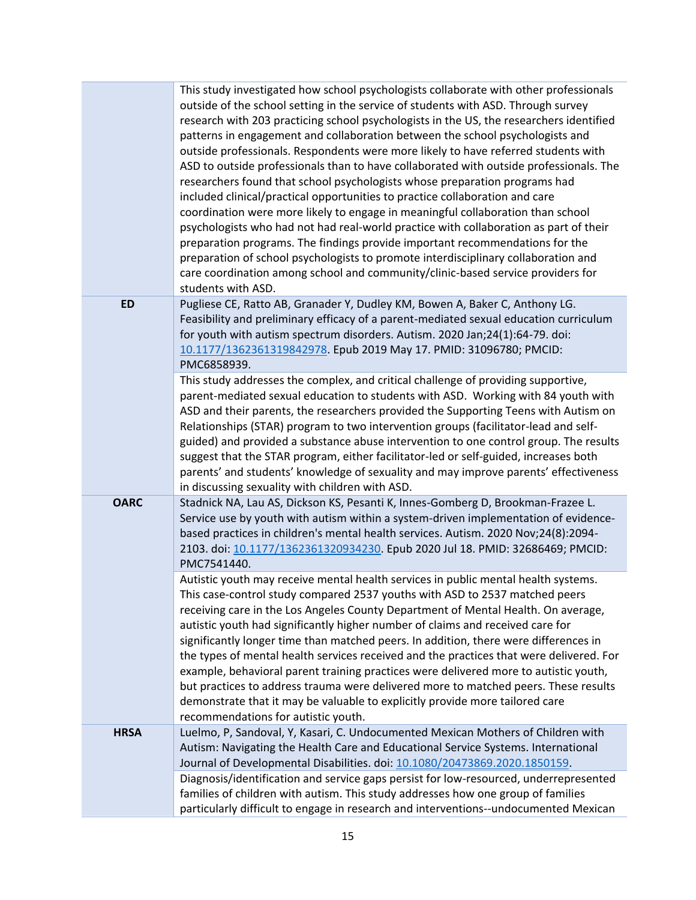|             | This study investigated how school psychologists collaborate with other professionals<br>outside of the school setting in the service of students with ASD. Through survey<br>research with 203 practicing school psychologists in the US, the researchers identified<br>patterns in engagement and collaboration between the school psychologists and<br>outside professionals. Respondents were more likely to have referred students with<br>ASD to outside professionals than to have collaborated with outside professionals. The<br>researchers found that school psychologists whose preparation programs had<br>included clinical/practical opportunities to practice collaboration and care<br>coordination were more likely to engage in meaningful collaboration than school<br>psychologists who had not had real-world practice with collaboration as part of their<br>preparation programs. The findings provide important recommendations for the<br>preparation of school psychologists to promote interdisciplinary collaboration and<br>care coordination among school and community/clinic-based service providers for<br>students with ASD. |
|-------------|-----------------------------------------------------------------------------------------------------------------------------------------------------------------------------------------------------------------------------------------------------------------------------------------------------------------------------------------------------------------------------------------------------------------------------------------------------------------------------------------------------------------------------------------------------------------------------------------------------------------------------------------------------------------------------------------------------------------------------------------------------------------------------------------------------------------------------------------------------------------------------------------------------------------------------------------------------------------------------------------------------------------------------------------------------------------------------------------------------------------------------------------------------------------|
| <b>ED</b>   | Pugliese CE, Ratto AB, Granader Y, Dudley KM, Bowen A, Baker C, Anthony LG.<br>Feasibility and preliminary efficacy of a parent-mediated sexual education curriculum<br>for youth with autism spectrum disorders. Autism. 2020 Jan;24(1):64-79. doi:<br>10.1177/1362361319842978. Epub 2019 May 17. PMID: 31096780; PMCID:<br>PMC6858939.                                                                                                                                                                                                                                                                                                                                                                                                                                                                                                                                                                                                                                                                                                                                                                                                                       |
|             | This study addresses the complex, and critical challenge of providing supportive,<br>parent-mediated sexual education to students with ASD. Working with 84 youth with<br>ASD and their parents, the researchers provided the Supporting Teens with Autism on<br>Relationships (STAR) program to two intervention groups (facilitator-lead and self-<br>guided) and provided a substance abuse intervention to one control group. The results<br>suggest that the STAR program, either facilitator-led or self-guided, increases both<br>parents' and students' knowledge of sexuality and may improve parents' effectiveness<br>in discussing sexuality with children with ASD.                                                                                                                                                                                                                                                                                                                                                                                                                                                                                |
| <b>OARC</b> | Stadnick NA, Lau AS, Dickson KS, Pesanti K, Innes-Gomberg D, Brookman-Frazee L.<br>Service use by youth with autism within a system-driven implementation of evidence-<br>based practices in children's mental health services. Autism. 2020 Nov;24(8):2094-<br>2103. doi: 10.1177/1362361320934230. Epub 2020 Jul 18. PMID: 32686469; PMCID:<br>PMC7541440.                                                                                                                                                                                                                                                                                                                                                                                                                                                                                                                                                                                                                                                                                                                                                                                                    |
|             | Autistic youth may receive mental health services in public mental health systems.<br>This case-control study compared 2537 youths with ASD to 2537 matched peers<br>receiving care in the Los Angeles County Department of Mental Health. On average,<br>autistic youth had significantly higher number of claims and received care for<br>significantly longer time than matched peers. In addition, there were differences in<br>the types of mental health services received and the practices that were delivered. For<br>example, behavioral parent training practices were delivered more to autistic youth,<br>but practices to address trauma were delivered more to matched peers. These results<br>demonstrate that it may be valuable to explicitly provide more tailored care<br>recommendations for autistic youth.                                                                                                                                                                                                                                                                                                                               |
| <b>HRSA</b> | Luelmo, P, Sandoval, Y, Kasari, C. Undocumented Mexican Mothers of Children with<br>Autism: Navigating the Health Care and Educational Service Systems. International<br>Journal of Developmental Disabilities. doi: 10.1080/20473869.2020.1850159.                                                                                                                                                                                                                                                                                                                                                                                                                                                                                                                                                                                                                                                                                                                                                                                                                                                                                                             |
|             | Diagnosis/identification and service gaps persist for low-resourced, underrepresented<br>families of children with autism. This study addresses how one group of families<br>particularly difficult to engage in research and interventions--undocumented Mexican                                                                                                                                                                                                                                                                                                                                                                                                                                                                                                                                                                                                                                                                                                                                                                                                                                                                                               |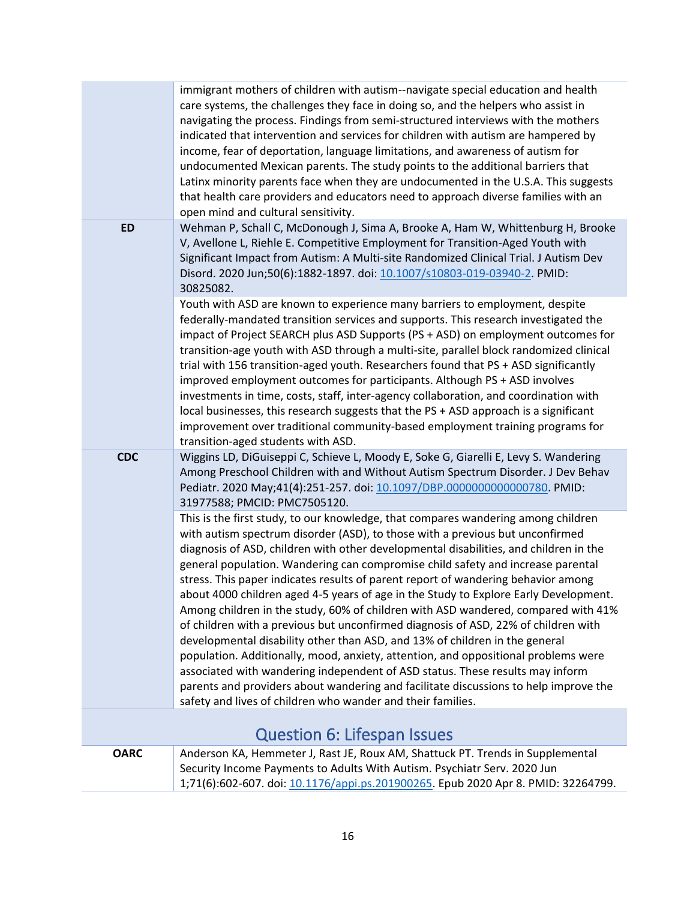<span id="page-15-0"></span>

|                                    | immigrant mothers of children with autism--navigate special education and health<br>care systems, the challenges they face in doing so, and the helpers who assist in<br>navigating the process. Findings from semi-structured interviews with the mothers<br>indicated that intervention and services for children with autism are hampered by<br>income, fear of deportation, language limitations, and awareness of autism for<br>undocumented Mexican parents. The study points to the additional barriers that<br>Latinx minority parents face when they are undocumented in the U.S.A. This suggests<br>that health care providers and educators need to approach diverse families with an<br>open mind and cultural sensitivity.                                                                                                                                                                                                                                                                                                                                                                             |
|------------------------------------|---------------------------------------------------------------------------------------------------------------------------------------------------------------------------------------------------------------------------------------------------------------------------------------------------------------------------------------------------------------------------------------------------------------------------------------------------------------------------------------------------------------------------------------------------------------------------------------------------------------------------------------------------------------------------------------------------------------------------------------------------------------------------------------------------------------------------------------------------------------------------------------------------------------------------------------------------------------------------------------------------------------------------------------------------------------------------------------------------------------------|
| <b>ED</b>                          | Wehman P, Schall C, McDonough J, Sima A, Brooke A, Ham W, Whittenburg H, Brooke<br>V, Avellone L, Riehle E. Competitive Employment for Transition-Aged Youth with<br>Significant Impact from Autism: A Multi-site Randomized Clinical Trial. J Autism Dev<br>Disord. 2020 Jun;50(6):1882-1897. doi: 10.1007/s10803-019-03940-2. PMID:<br>30825082.                                                                                                                                                                                                                                                                                                                                                                                                                                                                                                                                                                                                                                                                                                                                                                  |
|                                    | Youth with ASD are known to experience many barriers to employment, despite<br>federally-mandated transition services and supports. This research investigated the<br>impact of Project SEARCH plus ASD Supports (PS + ASD) on employment outcomes for<br>transition-age youth with ASD through a multi-site, parallel block randomized clinical<br>trial with 156 transition-aged youth. Researchers found that PS + ASD significantly<br>improved employment outcomes for participants. Although PS + ASD involves<br>investments in time, costs, staff, inter-agency collaboration, and coordination with<br>local businesses, this research suggests that the PS + ASD approach is a significant<br>improvement over traditional community-based employment training programs for<br>transition-aged students with ASD.                                                                                                                                                                                                                                                                                         |
| <b>CDC</b>                         | Wiggins LD, DiGuiseppi C, Schieve L, Moody E, Soke G, Giarelli E, Levy S. Wandering<br>Among Preschool Children with and Without Autism Spectrum Disorder. J Dev Behav<br>Pediatr. 2020 May;41(4):251-257. doi: 10.1097/DBP.0000000000000780. PMID:<br>31977588; PMCID: PMC7505120.                                                                                                                                                                                                                                                                                                                                                                                                                                                                                                                                                                                                                                                                                                                                                                                                                                 |
|                                    | This is the first study, to our knowledge, that compares wandering among children<br>with autism spectrum disorder (ASD), to those with a previous but unconfirmed<br>diagnosis of ASD, children with other developmental disabilities, and children in the<br>general population. Wandering can compromise child safety and increase parental<br>stress. This paper indicates results of parent report of wandering behavior among<br>about 4000 children aged 4-5 years of age in the Study to Explore Early Development.<br>Among children in the study, 60% of children with ASD wandered, compared with 41%<br>of children with a previous but unconfirmed diagnosis of ASD, 22% of children with<br>developmental disability other than ASD, and 13% of children in the general<br>population. Additionally, mood, anxiety, attention, and oppositional problems were<br>associated with wandering independent of ASD status. These results may inform<br>parents and providers about wandering and facilitate discussions to help improve the<br>safety and lives of children who wander and their families. |
| <b>Question 6: Lifespan Issues</b> |                                                                                                                                                                                                                                                                                                                                                                                                                                                                                                                                                                                                                                                                                                                                                                                                                                                                                                                                                                                                                                                                                                                     |
| <b>OARC</b>                        | Anderson KA, Hemmeter J, Rast JE, Roux AM, Shattuck PT. Trends in Supplemental<br>Security Income Payments to Adults With Autism. Psychiatr Serv. 2020 Jun<br>1;71(6):602-607. doi: 10.1176/appi.ps.201900265. Epub 2020 Apr 8. PMID: 32264799.                                                                                                                                                                                                                                                                                                                                                                                                                                                                                                                                                                                                                                                                                                                                                                                                                                                                     |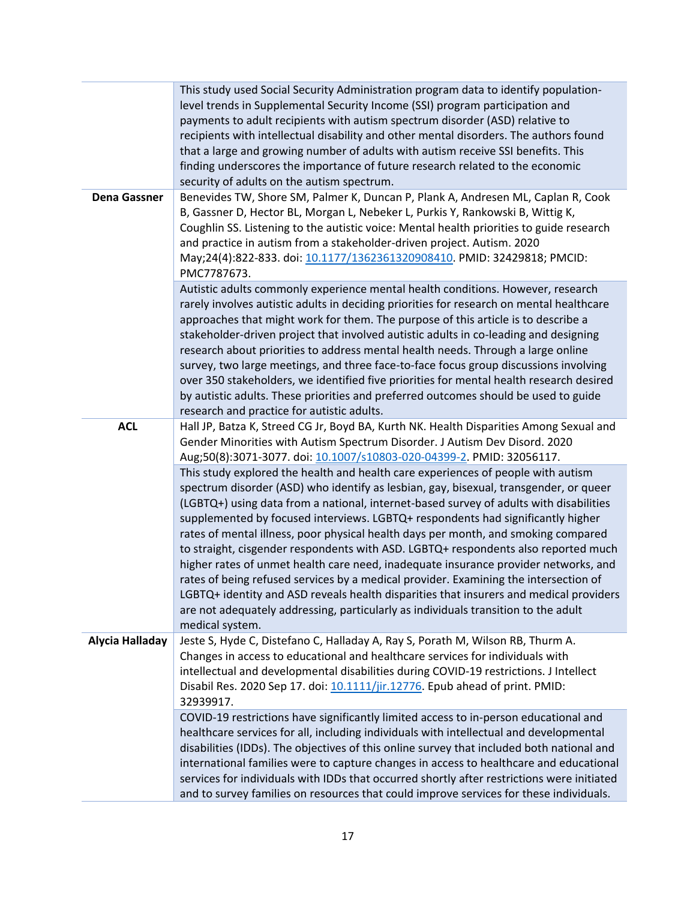|                     | This study used Social Security Administration program data to identify population-<br>level trends in Supplemental Security Income (SSI) program participation and<br>payments to adult recipients with autism spectrum disorder (ASD) relative to<br>recipients with intellectual disability and other mental disorders. The authors found<br>that a large and growing number of adults with autism receive SSI benefits. This<br>finding underscores the importance of future research related to the economic<br>security of adults on the autism spectrum.                                                                                                                                                                                                                                                                                                                                                      |
|---------------------|----------------------------------------------------------------------------------------------------------------------------------------------------------------------------------------------------------------------------------------------------------------------------------------------------------------------------------------------------------------------------------------------------------------------------------------------------------------------------------------------------------------------------------------------------------------------------------------------------------------------------------------------------------------------------------------------------------------------------------------------------------------------------------------------------------------------------------------------------------------------------------------------------------------------|
| <b>Dena Gassner</b> | Benevides TW, Shore SM, Palmer K, Duncan P, Plank A, Andresen ML, Caplan R, Cook<br>B, Gassner D, Hector BL, Morgan L, Nebeker L, Purkis Y, Rankowski B, Wittig K,<br>Coughlin SS. Listening to the autistic voice: Mental health priorities to guide research<br>and practice in autism from a stakeholder-driven project. Autism. 2020<br>May;24(4):822-833. doi: 10.1177/1362361320908410. PMID: 32429818; PMCID:<br>PMC7787673.                                                                                                                                                                                                                                                                                                                                                                                                                                                                                  |
|                     | Autistic adults commonly experience mental health conditions. However, research<br>rarely involves autistic adults in deciding priorities for research on mental healthcare<br>approaches that might work for them. The purpose of this article is to describe a<br>stakeholder-driven project that involved autistic adults in co-leading and designing<br>research about priorities to address mental health needs. Through a large online<br>survey, two large meetings, and three face-to-face focus group discussions involving<br>over 350 stakeholders, we identified five priorities for mental health research desired<br>by autistic adults. These priorities and preferred outcomes should be used to guide<br>research and practice for autistic adults.                                                                                                                                                 |
| <b>ACL</b>          | Hall JP, Batza K, Streed CG Jr, Boyd BA, Kurth NK. Health Disparities Among Sexual and<br>Gender Minorities with Autism Spectrum Disorder. J Autism Dev Disord. 2020<br>Aug;50(8):3071-3077. doi: 10.1007/s10803-020-04399-2. PMID: 32056117.                                                                                                                                                                                                                                                                                                                                                                                                                                                                                                                                                                                                                                                                        |
|                     | This study explored the health and health care experiences of people with autism<br>spectrum disorder (ASD) who identify as lesbian, gay, bisexual, transgender, or queer<br>(LGBTQ+) using data from a national, internet-based survey of adults with disabilities<br>supplemented by focused interviews. LGBTQ+ respondents had significantly higher<br>rates of mental illness, poor physical health days per month, and smoking compared<br>to straight, cisgender respondents with ASD. LGBTQ+ respondents also reported much<br>higher rates of unmet health care need, inadequate insurance provider networks, and<br>rates of being refused services by a medical provider. Examining the intersection of<br>LGBTQ+ identity and ASD reveals health disparities that insurers and medical providers<br>are not adequately addressing, particularly as individuals transition to the adult<br>medical system. |
| Alycia Halladay     | Jeste S, Hyde C, Distefano C, Halladay A, Ray S, Porath M, Wilson RB, Thurm A.<br>Changes in access to educational and healthcare services for individuals with<br>intellectual and developmental disabilities during COVID-19 restrictions. J Intellect<br>Disabil Res. 2020 Sep 17. doi: 10.1111/jir.12776. Epub ahead of print. PMID:<br>32939917.                                                                                                                                                                                                                                                                                                                                                                                                                                                                                                                                                                |
|                     | COVID-19 restrictions have significantly limited access to in-person educational and<br>healthcare services for all, including individuals with intellectual and developmental<br>disabilities (IDDs). The objectives of this online survey that included both national and<br>international families were to capture changes in access to healthcare and educational<br>services for individuals with IDDs that occurred shortly after restrictions were initiated<br>and to survey families on resources that could improve services for these individuals.                                                                                                                                                                                                                                                                                                                                                        |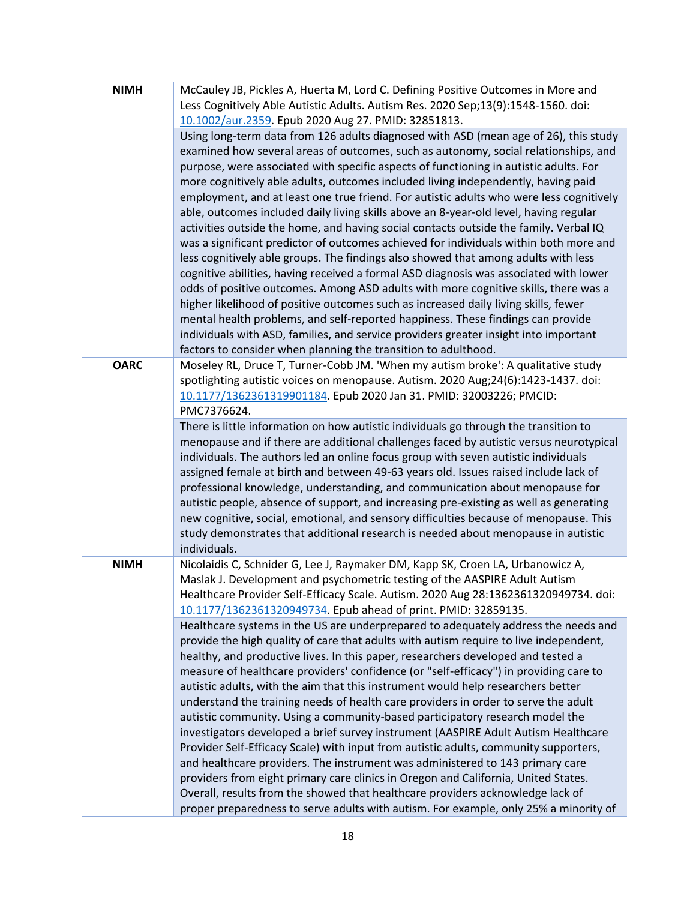| <b>NIMH</b> | McCauley JB, Pickles A, Huerta M, Lord C. Defining Positive Outcomes in More and<br>Less Cognitively Able Autistic Adults. Autism Res. 2020 Sep;13(9):1548-1560. doi:<br>10.1002/aur.2359. Epub 2020 Aug 27. PMID: 32851813.                                                                                                                                                                                                                                                                                                                                                                                                                                                                                                                                                                                                                                                                                                                                                                                                                                                                                                                                                                                                                                                                                                              |
|-------------|-------------------------------------------------------------------------------------------------------------------------------------------------------------------------------------------------------------------------------------------------------------------------------------------------------------------------------------------------------------------------------------------------------------------------------------------------------------------------------------------------------------------------------------------------------------------------------------------------------------------------------------------------------------------------------------------------------------------------------------------------------------------------------------------------------------------------------------------------------------------------------------------------------------------------------------------------------------------------------------------------------------------------------------------------------------------------------------------------------------------------------------------------------------------------------------------------------------------------------------------------------------------------------------------------------------------------------------------|
|             | Using long-term data from 126 adults diagnosed with ASD (mean age of 26), this study<br>examined how several areas of outcomes, such as autonomy, social relationships, and<br>purpose, were associated with specific aspects of functioning in autistic adults. For<br>more cognitively able adults, outcomes included living independently, having paid<br>employment, and at least one true friend. For autistic adults who were less cognitively<br>able, outcomes included daily living skills above an 8-year-old level, having regular<br>activities outside the home, and having social contacts outside the family. Verbal IQ<br>was a significant predictor of outcomes achieved for individuals within both more and<br>less cognitively able groups. The findings also showed that among adults with less<br>cognitive abilities, having received a formal ASD diagnosis was associated with lower<br>odds of positive outcomes. Among ASD adults with more cognitive skills, there was a<br>higher likelihood of positive outcomes such as increased daily living skills, fewer<br>mental health problems, and self-reported happiness. These findings can provide<br>individuals with ASD, families, and service providers greater insight into important<br>factors to consider when planning the transition to adulthood. |
| <b>OARC</b> | Moseley RL, Druce T, Turner-Cobb JM. 'When my autism broke': A qualitative study<br>spotlighting autistic voices on menopause. Autism. 2020 Aug;24(6):1423-1437. doi:<br>10.1177/1362361319901184. Epub 2020 Jan 31. PMID: 32003226; PMCID:<br>PMC7376624.                                                                                                                                                                                                                                                                                                                                                                                                                                                                                                                                                                                                                                                                                                                                                                                                                                                                                                                                                                                                                                                                                |
|             | There is little information on how autistic individuals go through the transition to<br>menopause and if there are additional challenges faced by autistic versus neurotypical<br>individuals. The authors led an online focus group with seven autistic individuals<br>assigned female at birth and between 49-63 years old. Issues raised include lack of<br>professional knowledge, understanding, and communication about menopause for<br>autistic people, absence of support, and increasing pre-existing as well as generating<br>new cognitive, social, emotional, and sensory difficulties because of menopause. This<br>study demonstrates that additional research is needed about menopause in autistic<br>individuals.                                                                                                                                                                                                                                                                                                                                                                                                                                                                                                                                                                                                       |
| <b>NIMH</b> | Nicolaidis C, Schnider G, Lee J, Raymaker DM, Kapp SK, Croen LA, Urbanowicz A,<br>Maslak J. Development and psychometric testing of the AASPIRE Adult Autism<br>Healthcare Provider Self-Efficacy Scale. Autism. 2020 Aug 28:1362361320949734. doi:<br>10.1177/1362361320949734. Epub ahead of print. PMID: 32859135.                                                                                                                                                                                                                                                                                                                                                                                                                                                                                                                                                                                                                                                                                                                                                                                                                                                                                                                                                                                                                     |
|             | Healthcare systems in the US are underprepared to adequately address the needs and<br>provide the high quality of care that adults with autism require to live independent,<br>healthy, and productive lives. In this paper, researchers developed and tested a<br>measure of healthcare providers' confidence (or "self-efficacy") in providing care to<br>autistic adults, with the aim that this instrument would help researchers better<br>understand the training needs of health care providers in order to serve the adult<br>autistic community. Using a community-based participatory research model the<br>investigators developed a brief survey instrument (AASPIRE Adult Autism Healthcare<br>Provider Self-Efficacy Scale) with input from autistic adults, community supporters,<br>and healthcare providers. The instrument was administered to 143 primary care<br>providers from eight primary care clinics in Oregon and California, United States.<br>Overall, results from the showed that healthcare providers acknowledge lack of<br>proper preparedness to serve adults with autism. For example, only 25% a minority of                                                                                                                                                                                         |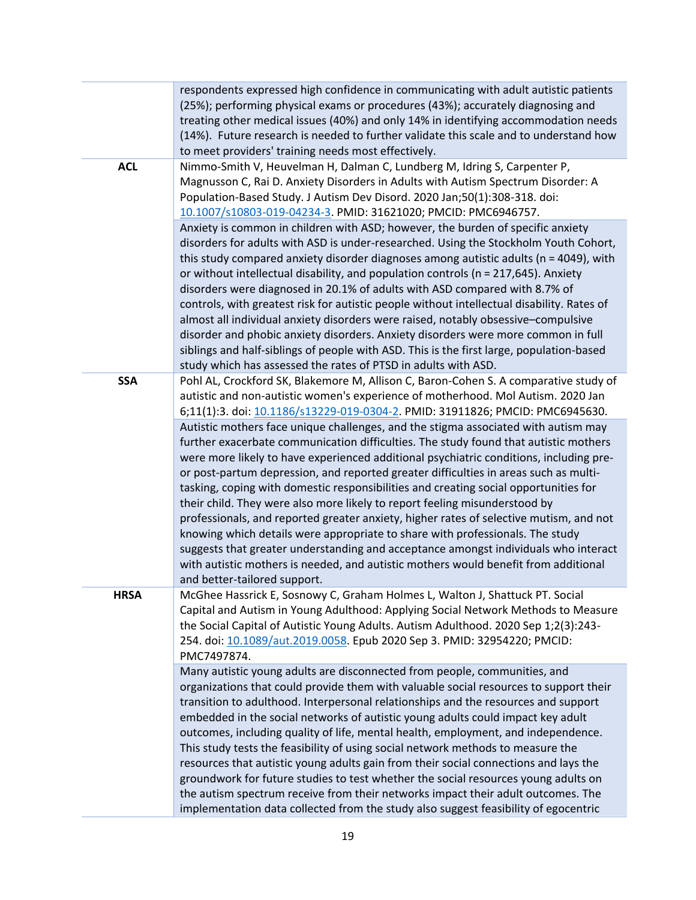|             | respondents expressed high confidence in communicating with adult autistic patients<br>(25%); performing physical exams or procedures (43%); accurately diagnosing and<br>treating other medical issues (40%) and only 14% in identifying accommodation needs<br>(14%). Future research is needed to further validate this scale and to understand how                                                                                                                                                                                                                                                                                                                                                                                                                                                                                                                                                                      |
|-------------|-----------------------------------------------------------------------------------------------------------------------------------------------------------------------------------------------------------------------------------------------------------------------------------------------------------------------------------------------------------------------------------------------------------------------------------------------------------------------------------------------------------------------------------------------------------------------------------------------------------------------------------------------------------------------------------------------------------------------------------------------------------------------------------------------------------------------------------------------------------------------------------------------------------------------------|
| <b>ACL</b>  | to meet providers' training needs most effectively.<br>Nimmo-Smith V, Heuvelman H, Dalman C, Lundberg M, Idring S, Carpenter P,<br>Magnusson C, Rai D. Anxiety Disorders in Adults with Autism Spectrum Disorder: A<br>Population-Based Study. J Autism Dev Disord. 2020 Jan;50(1):308-318. doi:<br>10.1007/s10803-019-04234-3. PMID: 31621020; PMCID: PMC6946757.                                                                                                                                                                                                                                                                                                                                                                                                                                                                                                                                                          |
|             | Anxiety is common in children with ASD; however, the burden of specific anxiety<br>disorders for adults with ASD is under-researched. Using the Stockholm Youth Cohort,<br>this study compared anxiety disorder diagnoses among autistic adults ( $n = 4049$ ), with<br>or without intellectual disability, and population controls (n = 217,645). Anxiety<br>disorders were diagnosed in 20.1% of adults with ASD compared with 8.7% of<br>controls, with greatest risk for autistic people without intellectual disability. Rates of<br>almost all individual anxiety disorders were raised, notably obsessive-compulsive<br>disorder and phobic anxiety disorders. Anxiety disorders were more common in full<br>siblings and half-siblings of people with ASD. This is the first large, population-based                                                                                                                |
| <b>SSA</b>  | study which has assessed the rates of PTSD in adults with ASD.<br>Pohl AL, Crockford SK, Blakemore M, Allison C, Baron-Cohen S. A comparative study of<br>autistic and non-autistic women's experience of motherhood. Mol Autism. 2020 Jan<br>6;11(1):3. doi: 10.1186/s13229-019-0304-2. PMID: 31911826; PMCID: PMC6945630.                                                                                                                                                                                                                                                                                                                                                                                                                                                                                                                                                                                                 |
|             | Autistic mothers face unique challenges, and the stigma associated with autism may<br>further exacerbate communication difficulties. The study found that autistic mothers<br>were more likely to have experienced additional psychiatric conditions, including pre-<br>or post-partum depression, and reported greater difficulties in areas such as multi-<br>tasking, coping with domestic responsibilities and creating social opportunities for<br>their child. They were also more likely to report feeling misunderstood by<br>professionals, and reported greater anxiety, higher rates of selective mutism, and not<br>knowing which details were appropriate to share with professionals. The study<br>suggests that greater understanding and acceptance amongst individuals who interact<br>with autistic mothers is needed, and autistic mothers would benefit from additional<br>and better-tailored support. |
| <b>HRSA</b> | McGhee Hassrick E, Sosnowy C, Graham Holmes L, Walton J, Shattuck PT. Social<br>Capital and Autism in Young Adulthood: Applying Social Network Methods to Measure<br>the Social Capital of Autistic Young Adults. Autism Adulthood. 2020 Sep 1;2(3):243-<br>254. doi: 10.1089/aut.2019.0058. Epub 2020 Sep 3. PMID: 32954220; PMCID:<br>PMC7497874.                                                                                                                                                                                                                                                                                                                                                                                                                                                                                                                                                                         |
|             | Many autistic young adults are disconnected from people, communities, and<br>organizations that could provide them with valuable social resources to support their<br>transition to adulthood. Interpersonal relationships and the resources and support<br>embedded in the social networks of autistic young adults could impact key adult<br>outcomes, including quality of life, mental health, employment, and independence.<br>This study tests the feasibility of using social network methods to measure the<br>resources that autistic young adults gain from their social connections and lays the<br>groundwork for future studies to test whether the social resources young adults on<br>the autism spectrum receive from their networks impact their adult outcomes. The<br>implementation data collected from the study also suggest feasibility of egocentric                                                |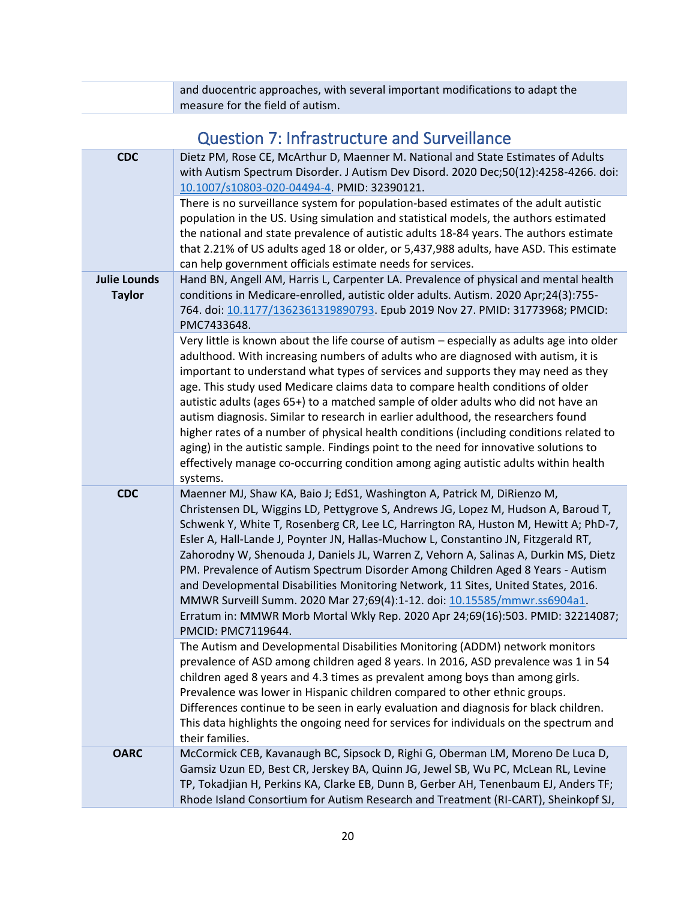<span id="page-19-0"></span>

| and duocentric approaches, with several important modifications to adapt the |
|------------------------------------------------------------------------------|
| measure for the field of autism.                                             |

| Question 7: Infrastructure and Surveillance |  |
|---------------------------------------------|--|
|---------------------------------------------|--|

| <b>CDC</b>                           | Dietz PM, Rose CE, McArthur D, Maenner M. National and State Estimates of Adults<br>with Autism Spectrum Disorder. J Autism Dev Disord. 2020 Dec;50(12):4258-4266. doi:<br>10.1007/s10803-020-04494-4. PMID: 32390121.                                                                                                                                                                                                                                                                                                                                                                                                                                                                                                                                                                                                    |
|--------------------------------------|---------------------------------------------------------------------------------------------------------------------------------------------------------------------------------------------------------------------------------------------------------------------------------------------------------------------------------------------------------------------------------------------------------------------------------------------------------------------------------------------------------------------------------------------------------------------------------------------------------------------------------------------------------------------------------------------------------------------------------------------------------------------------------------------------------------------------|
|                                      | There is no surveillance system for population-based estimates of the adult autistic<br>population in the US. Using simulation and statistical models, the authors estimated<br>the national and state prevalence of autistic adults 18-84 years. The authors estimate<br>that 2.21% of US adults aged 18 or older, or 5,437,988 adults, have ASD. This estimate<br>can help government officials estimate needs for services.                                                                                                                                                                                                                                                                                                                                                                                            |
| <b>Julie Lounds</b><br><b>Taylor</b> | Hand BN, Angell AM, Harris L, Carpenter LA. Prevalence of physical and mental health<br>conditions in Medicare-enrolled, autistic older adults. Autism. 2020 Apr;24(3):755-<br>764. doi: 10.1177/1362361319890793. Epub 2019 Nov 27. PMID: 31773968; PMCID:<br>PMC7433648.                                                                                                                                                                                                                                                                                                                                                                                                                                                                                                                                                |
|                                      | Very little is known about the life course of autism - especially as adults age into older<br>adulthood. With increasing numbers of adults who are diagnosed with autism, it is<br>important to understand what types of services and supports they may need as they<br>age. This study used Medicare claims data to compare health conditions of older<br>autistic adults (ages 65+) to a matched sample of older adults who did not have an<br>autism diagnosis. Similar to research in earlier adulthood, the researchers found<br>higher rates of a number of physical health conditions (including conditions related to<br>aging) in the autistic sample. Findings point to the need for innovative solutions to<br>effectively manage co-occurring condition among aging autistic adults within health<br>systems. |
| <b>CDC</b>                           | Maenner MJ, Shaw KA, Baio J; EdS1, Washington A, Patrick M, DiRienzo M,<br>Christensen DL, Wiggins LD, Pettygrove S, Andrews JG, Lopez M, Hudson A, Baroud T,<br>Schwenk Y, White T, Rosenberg CR, Lee LC, Harrington RA, Huston M, Hewitt A; PhD-7,<br>Esler A, Hall-Lande J, Poynter JN, Hallas-Muchow L, Constantino JN, Fitzgerald RT,<br>Zahorodny W, Shenouda J, Daniels JL, Warren Z, Vehorn A, Salinas A, Durkin MS, Dietz<br>PM. Prevalence of Autism Spectrum Disorder Among Children Aged 8 Years - Autism<br>and Developmental Disabilities Monitoring Network, 11 Sites, United States, 2016.<br>MMWR Surveill Summ. 2020 Mar 27;69(4):1-12. doi: 10.15585/mmwr.ss6904a1.<br>Erratum in: MMWR Morb Mortal Wkly Rep. 2020 Apr 24;69(16):503. PMID: 32214087;<br>PMCID: PMC7119644.                            |
|                                      | The Autism and Developmental Disabilities Monitoring (ADDM) network monitors<br>prevalence of ASD among children aged 8 years. In 2016, ASD prevalence was 1 in 54<br>children aged 8 years and 4.3 times as prevalent among boys than among girls.<br>Prevalence was lower in Hispanic children compared to other ethnic groups.<br>Differences continue to be seen in early evaluation and diagnosis for black children.<br>This data highlights the ongoing need for services for individuals on the spectrum and<br>their families.                                                                                                                                                                                                                                                                                   |
| <b>OARC</b>                          | McCormick CEB, Kavanaugh BC, Sipsock D, Righi G, Oberman LM, Moreno De Luca D,<br>Gamsiz Uzun ED, Best CR, Jerskey BA, Quinn JG, Jewel SB, Wu PC, McLean RL, Levine<br>TP, Tokadjian H, Perkins KA, Clarke EB, Dunn B, Gerber AH, Tenenbaum EJ, Anders TF;<br>Rhode Island Consortium for Autism Research and Treatment (RI-CART), Sheinkopf SJ,                                                                                                                                                                                                                                                                                                                                                                                                                                                                          |